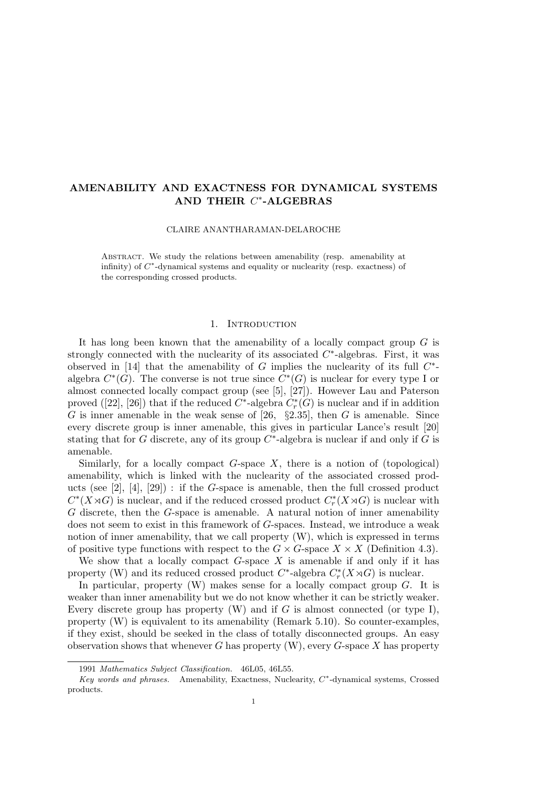# AMENABILITY AND EXACTNESS FOR DYNAMICAL SYSTEMS AND THEIR  $C^*$ -ALGEBRAS

CLAIRE ANANTHARAMAN-DELAROCHE

Abstract. We study the relations between amenability (resp. amenability at infinity) of  $C^*$ -dynamical systems and equality or nuclearity (resp. exactness) of the corresponding crossed products.

# 1. INTRODUCTION

It has long been known that the amenability of a locally compact group  $G$  is strongly connected with the nuclearity of its associated  $C^*$ -algebras. First, it was observed in [14] that the amenability of  $G$  implies the nuclearity of its full  $C^*$ algebra  $C^*(G)$ . The converse is not true since  $C^*(G)$  is nuclear for every type I or almost connected locally compact group (see [5], [27]). However Lau and Paterson proved ([22], [26]) that if the reduced  $C^*$ -algebra  $C^*_r(G)$  is nuclear and if in addition G is inner amenable in the weak sense of [26,  $\S 2.35$ ], then G is amenable. Since every discrete group is inner amenable, this gives in particular Lance's result [20] stating that for G discrete, any of its group  $C^*$ -algebra is nuclear if and only if G is amenable.

Similarly, for a locally compact  $G$ -space  $X$ , there is a notion of (topological) amenability, which is linked with the nuclearity of the associated crossed products (see  $[2]$ ,  $[4]$ ,  $[29]$ ): if the G-space is amenable, then the full crossed product  $C^*(X \rtimes G)$  is nuclear, and if the reduced crossed product  $C_r^*(X \rtimes G)$  is nuclear with G discrete, then the G-space is amenable. A natural notion of inner amenability does not seem to exist in this framework of G-spaces. Instead, we introduce a weak notion of inner amenability, that we call property (W), which is expressed in terms of positive type functions with respect to the  $G \times G$ -space  $X \times X$  (Definition 4.3).

We show that a locally compact  $G$ -space  $X$  is amenable if and only if it has property (W) and its reduced crossed product  $C^*$ -algebra  $C_r^*(X \rtimes G)$  is nuclear.

In particular, property  $(W)$  makes sense for a locally compact group  $G$ . It is weaker than inner amenability but we do not know whether it can be strictly weaker. Every discrete group has property  $(W)$  and if G is almost connected (or type I), property (W) is equivalent to its amenability (Remark 5.10). So counter-examples, if they exist, should be seeked in the class of totally disconnected groups. An easy observation shows that whenever G has property  $(W)$ , every G-space X has property

<sup>1991</sup> Mathematics Subject Classification. 46L05, 46L55.

Key words and phrases. Amenability, Exactness, Nuclearity, C\*-dynamical systems, Crossed products.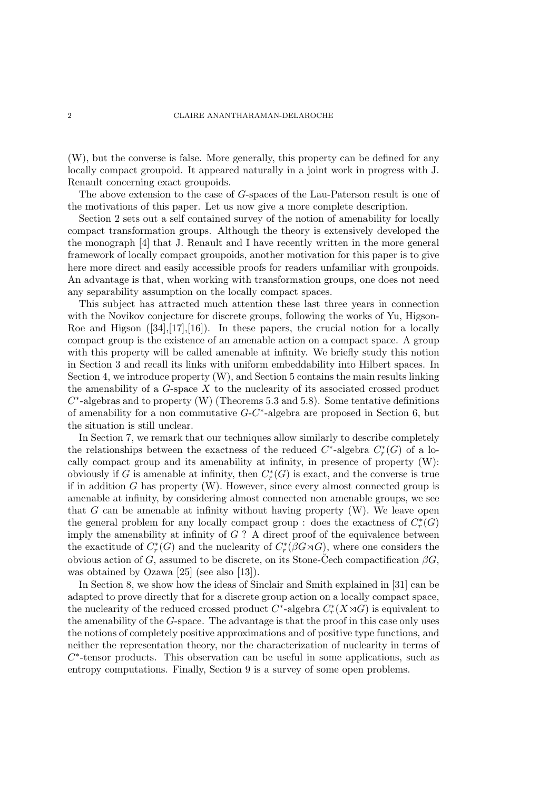(W), but the converse is false. More generally, this property can be defined for any locally compact groupoid. It appeared naturally in a joint work in progress with J. Renault concerning exact groupoids.

The above extension to the case of G-spaces of the Lau-Paterson result is one of the motivations of this paper. Let us now give a more complete description.

Section 2 sets out a self contained survey of the notion of amenability for locally compact transformation groups. Although the theory is extensively developed the the monograph [4] that J. Renault and I have recently written in the more general framework of locally compact groupoids, another motivation for this paper is to give here more direct and easily accessible proofs for readers unfamiliar with groupoids. An advantage is that, when working with transformation groups, one does not need any separability assumption on the locally compact spaces.

This subject has attracted much attention these last three years in connection with the Novikov conjecture for discrete groups, following the works of Yu, Higson-Roe and Higson  $([34],[17],[16])$ . In these papers, the crucial notion for a locally compact group is the existence of an amenable action on a compact space. A group with this property will be called amenable at infinity. We briefly study this notion in Section 3 and recall its links with uniform embeddability into Hilbert spaces. In Section 4, we introduce property (W), and Section 5 contains the main results linking the amenability of a  $G$ -space  $X$  to the nuclearity of its associated crossed product  $C^*$ -algebras and to property (W) (Theorems 5.3 and 5.8). Some tentative definitions of amenability for a non commutative  $G-C^*$ -algebra are proposed in Section 6, but the situation is still unclear.

In Section 7, we remark that our techniques allow similarly to describe completely the relationships between the exactness of the reduced  $C^*$ -algebra  $C^*_r(G)$  of a locally compact group and its amenability at infinity, in presence of property (W): obviously if G is amenable at infinity, then  $C_r^*(G)$  is exact, and the converse is true if in addition  $G$  has property  $(W)$ . However, since every almost connected group is amenable at infinity, by considering almost connected non amenable groups, we see that  $G$  can be amenable at infinity without having property  $(W)$ . We leave open the general problem for any locally compact group : does the exactness of  $C_r^*(G)$ imply the amenability at infinity of  $G$  ? A direct proof of the equivalence between the exactitude of  $C_r^*(G)$  and the nuclearity of  $C_r^*(\beta G \rtimes G)$ , where one considers the obvious action of G, assumed to be discrete, on its Stone-Cech compactification  $\beta G$ . was obtained by Ozawa [25] (see also [13]).

In Section 8, we show how the ideas of Sinclair and Smith explained in [31] can be adapted to prove directly that for a discrete group action on a locally compact space, the nuclearity of the reduced crossed product  $C^*$ -algebra  $C^*_r(X \rtimes G)$  is equivalent to the amenability of the G-space. The advantage is that the proof in this case only uses the notions of completely positive approximations and of positive type functions, and neither the representation theory, nor the characterization of nuclearity in terms of  $C^*$ -tensor products. This observation can be useful in some applications, such as entropy computations. Finally, Section 9 is a survey of some open problems.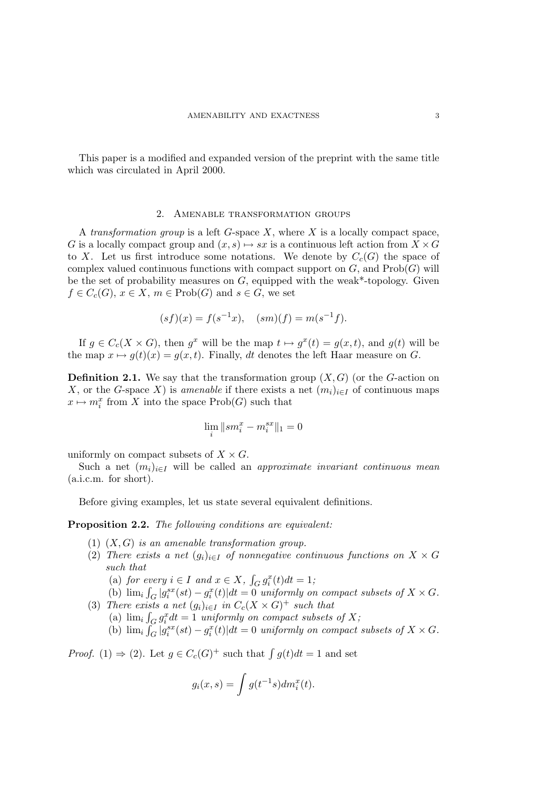This paper is a modified and expanded version of the preprint with the same title which was circulated in April 2000.

# 2. Amenable transformation groups

A transformation group is a left  $G$ -space  $X$ , where  $X$  is a locally compact space, G is a locally compact group and  $(x, s) \mapsto sx$  is a continuous left action from  $X \times G$ to X. Let us first introduce some notations. We denote by  $C_c(G)$  the space of complex valued continuous functions with compact support on  $G$ , and  $\mathrm{Prob}(G)$  will be the set of probability measures on  $G$ , equipped with the weak\*-topology. Given  $f \in C_c(G)$ ,  $x \in X$ ,  $m \in \text{Prob}(G)$  and  $s \in G$ , we set

$$
(sf)(x) = f(s^{-1}x), \quad (sm)(f) = m(s^{-1}f).
$$

If  $g \in C_c(X \times G)$ , then  $g^x$  will be the map  $t \mapsto g^x(t) = g(x, t)$ , and  $g(t)$  will be the map  $x \mapsto g(t)(x) = g(x, t)$ . Finally, dt denotes the left Haar measure on G.

**Definition 2.1.** We say that the transformation group  $(X, G)$  (or the G-action on X, or the G-space X) is amenable if there exists a net  $(m_i)_{i\in I}$  of continuous maps  $x \mapsto m_i^x$  from X into the space Prob(G) such that

$$
\lim_i \|sm_i^x-m_i^{sx}\|_1=0
$$

uniformly on compact subsets of  $X \times G$ .

Such a net  $(m_i)_{i\in I}$  will be called an *approximate invariant continuous mean* (a.i.c.m. for short).

Before giving examples, let us state several equivalent definitions.

Proposition 2.2. The following conditions are equivalent:

- (1)  $(X, G)$  is an amenable transformation group.
- (2) There exists a net  $(g_i)_{i\in I}$  of nonnegative continuous functions on  $X \times G$ such that

(a) for every  $i \in I$  and  $x \in X$ ,  $\int_G g_i^x(t)dt = 1$ ;

(b)  $\lim_{i} \int_{G} |g_i^{sx}(st) - g_i^{x}(t)| dt = 0$  uniformly on compact subsets of  $X \times G$ .

- (3) There exists a net  $(g_i)_{i\in I}$  in  $C_c(X\times G)^+$  such that
	- (a)  $\lim_i \int_G g_i^x dt = 1$  uniformly on compact subsets of X;

(b)  $\lim_{i} \int_{G} |g_i^{sx}(st) - g_i^{x}(t)| dt = 0$  uniformly on compact subsets of  $X \times G$ .

*Proof.* (1)  $\Rightarrow$  (2). Let  $g \in C_c(G)^+$  such that  $\int g(t)dt = 1$  and set

$$
g_i(x,s) = \int g(t^{-1}s) dm_i^x(t).
$$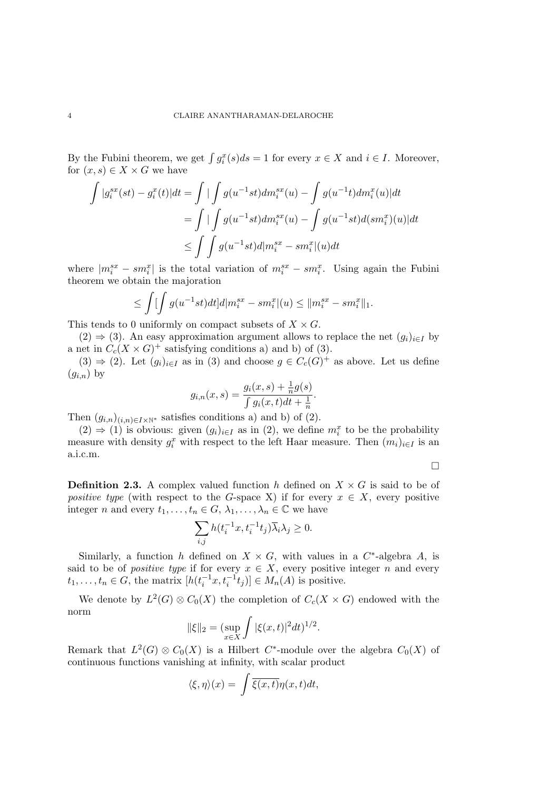By the Fubini theorem, we get  $\int g_i^x(s)ds = 1$  for every  $x \in X$  and  $i \in I$ . Moreover, for  $(x, s) \in X \times G$  we have

$$
\int |g_i^{sx}(st) - g_i^{x}(t)|dt = \int \int \int g(u^{-1}st)dm_i^{sx}(u) - \int g(u^{-1}t)dm_i^{x}(u)|dt
$$
  
= 
$$
\int \int \int g(u^{-1}st)dm_i^{sx}(u) - \int g(u^{-1}st)d(sm_i^{x})(u)|dt
$$
  

$$
\leq \int \int g(u^{-1}st)d|m_i^{sx} - sm_i^{x}|(u)dt
$$

where  $|m_i^{sx} - sm_i^{x}|$  is the total variation of  $m_i^{sx} - sm_i^{x}$ . Using again the Fubini theorem we obtain the majoration

$$
\leq \int [\int g(u^{-1}st)dt] d|m_i^{sx} - sm_i^{x}|(u) \leq ||m_i^{sx} - sm_i^{x}||_1.
$$

This tends to 0 uniformly on compact subsets of  $X \times G$ .

 $(2) \Rightarrow (3)$ . An easy approximation argument allows to replace the net  $(g_i)_{i \in I}$  by a net in  $C_c(X \times G)^+$  satisfying conditions a) and b) of (3).

 $(3) \Rightarrow (2)$ . Let  $(g_i)_{i \in I}$  as in (3) and choose  $g \in C_c(G)^+$  as above. Let us define  $(g_{i,n})$  by

$$
g_{i,n}(x,s) = \frac{g_i(x,s) + \frac{1}{n}g(s)}{\int g_i(x,t)dt + \frac{1}{n}}.
$$

Then  $(g_{i,n})_{(i,n)\in I\times\mathbb{N}^*}$  satisfies conditions a) and b) of (2).

 $(2) \Rightarrow (1)$  is obvious: given  $(g_i)_{i \in I}$  as in  $(2)$ , we define  $m_i^x$  to be the probability measure with density  $g_i^x$  with respect to the left Haar measure. Then  $(m_i)_{i\in I}$  is an a.i.c.m.

 $\Box$ 

**Definition 2.3.** A complex valued function h defined on  $X \times G$  is said to be of positive type (with respect to the G-space X) if for every  $x \in X$ , every positive integer n and every  $t_1, \ldots, t_n \in G$ ,  $\lambda_1, \ldots, \lambda_n \in \mathbb{C}$  we have

$$
\sum_{i,j} h(t_i^{-1}x,t_i^{-1}t_j)\overline{\lambda}_i\lambda_j\geq 0.
$$

Similarly, a function h defined on  $X \times G$ , with values in a  $C^*$ -algebra A, is said to be of *positive type* if for every  $x \in X$ , every positive integer n and every  $t_1, \ldots, t_n \in G$ , the matrix  $[h(t_i^{-1}x, t_i^{-1}t_j)] \in M_n(A)$  is positive.

We denote by  $L^2(G) \otimes C_0(X)$  the completion of  $C_c(X \times G)$  endowed with the norm

$$
\|\xi\|_2 = (\sup_{x \in X} \int |\xi(x, t)|^2 dt)^{1/2}.
$$

Remark that  $L^2(G) \otimes C_0(X)$  is a Hilbert C<sup>\*</sup>-module over the algebra  $C_0(X)$  of continuous functions vanishing at infinity, with scalar product

$$
\langle \xi, \eta \rangle(x) = \int \overline{\xi(x,t)} \eta(x,t) dt,
$$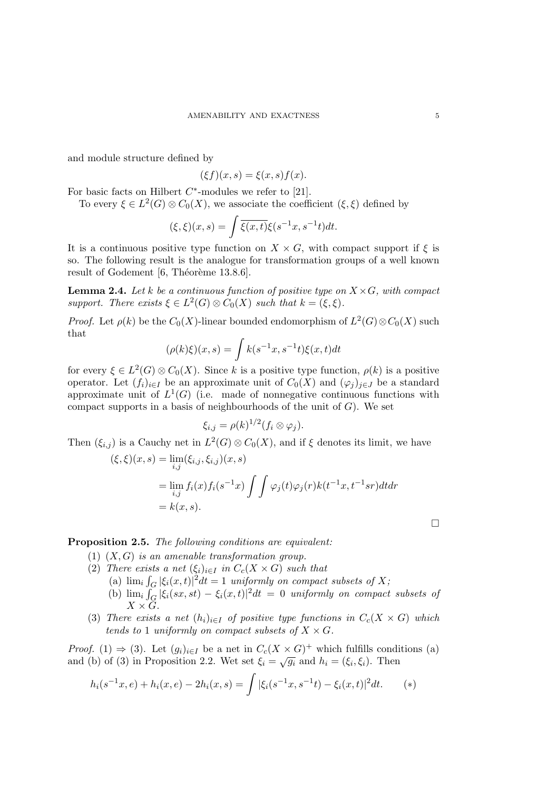and module structure defined by

 $(\xi f)(x, s) = \xi(x, s) f(x).$ 

For basic facts on Hilbert  $C^*$ -modules we refer to [21].

To every  $\xi \in L^2(G) \otimes C_0(X)$ , we associate the coefficient  $(\xi, \xi)$  defined by

$$
(\xi, \xi)(x, s) = \int \overline{\xi(x, t)} \xi(s^{-1}x, s^{-1}t) dt.
$$

It is a continuous positive type function on  $X \times G$ , with compact support if  $\xi$  is so. The following result is the analogue for transformation groups of a well known result of Godement  $[6,$  Théorème 13.8.6].

**Lemma 2.4.** Let k be a continuous function of positive type on  $X \times G$ , with compact support. There exists  $\xi \in L^2(G) \otimes C_0(X)$  such that  $k = (\xi, \xi)$ .

*Proof.* Let  $\rho(k)$  be the  $C_0(X)$ -linear bounded endomorphism of  $L^2(G) \otimes C_0(X)$  such that

$$
(\rho(k)\xi)(x,s) = \int k(s^{-1}x, s^{-1}t)\xi(x,t)dt
$$

for every  $\xi \in L^2(G) \otimes C_0(X)$ . Since k is a positive type function,  $\rho(k)$  is a positive operator. Let  $(f_i)_{i\in I}$  be an approximate unit of  $C_0(X)$  and  $(\varphi_i)_{i\in J}$  be a standard approximate unit of  $L^1(G)$  (i.e. made of nonnegative continuous functions with compact supports in a basis of neighbourhoods of the unit of  $G$ ). We set

$$
\xi_{i,j}=\rho(k)^{1/2}(f_i\otimes\varphi_j).
$$

Then  $(\xi_{i,j})$  is a Cauchy net in  $L^2(G) \otimes C_0(X)$ , and if  $\xi$  denotes its limit, we have  $(\xi, \xi)(x, s) = \lim_{i \to \infty} (\xi_{i,j}, \xi_{i,j})(x, s)$ 

$$
= \lim_{i,j} f_i(x) f_i(s^{-1}x) \int \int \varphi_j(t) \varphi_j(r) k(t^{-1}x, t^{-1}sr) dt dr
$$
  
=  $k(x, s)$ .

Proposition 2.5. The following conditions are equivalent:

- (1)  $(X, G)$  is an amenable transformation group.
- (2) There exists a net  $(\xi_i)_{i\in I}$  in  $C_c(X\times G)$  such that (a)  $\lim_{i} \int_{G} |\xi_i(x,t)|^2 dt = 1$  uniformly on compact subsets of X; (b)  $\lim_i \int_G |\xi_i(sx, st) - \xi_i(x, t)|^2 dt = 0$  uniformly on compact subsets of  $X\times \overline{G}$ .
- (3) There exists a net  $(h_i)_{i\in I}$  of positive type functions in  $C_c(X\times G)$  which tends to 1 uniformly on compact subsets of  $X \times G$ .

*Proof.* (1)  $\Rightarrow$  (3). Let  $(g_i)_{i \in I}$  be a net in  $C_c(X \times G)^+$  which fulfills conditions (a) and (b) of (3) in Proposition 2.2. Wet set  $\xi_i = \sqrt{g_i}$  and  $h_i = (\xi_i, \xi_i)$ . Then

$$
h_i(s^{-1}x, e) + h_i(x, e) - 2h_i(x, s) = \int |\xi_i(s^{-1}x, s^{-1}t) - \xi_i(x, t)|^2 dt. \tag{*}
$$

 $\Box$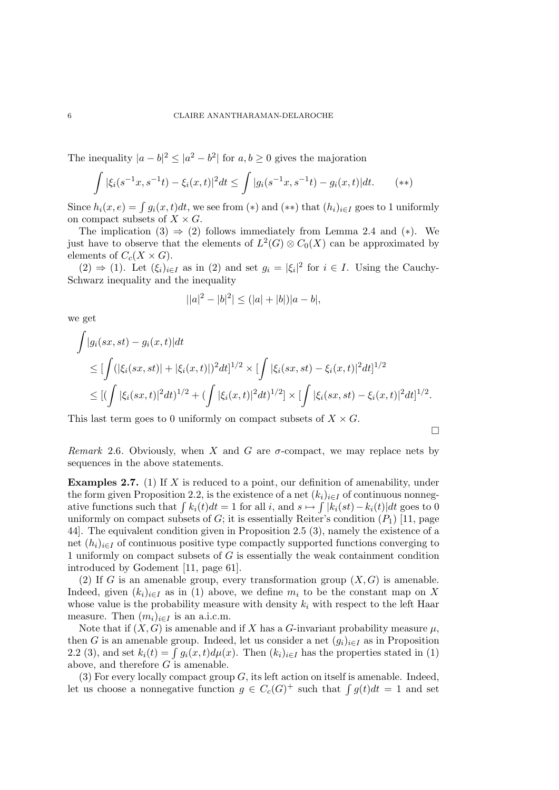The inequality  $|a - b|^2 \le |a^2 - b^2|$  for  $a, b \ge 0$  gives the majoration

$$
\int |\xi_i(s^{-1}x, s^{-1}t) - \xi_i(x, t)|^2 dt \le \int |g_i(s^{-1}x, s^{-1}t) - g_i(x, t)| dt. \qquad (*)
$$

Since  $h_i(x, e) = \int g_i(x, t)dt$ , we see from (\*) and (\*\*) that  $(h_i)_{i \in I}$  goes to 1 uniformly on compact subsets of  $X \times G$ .

The implication (3)  $\Rightarrow$  (2) follows immediately from Lemma 2.4 and (\*). We just have to observe that the elements of  $L^2(G) \otimes C_0(X)$  can be approximated by elements of  $C_c(X\times G)$ .

 $(2) \Rightarrow (1)$ . Let  $(\xi_i)_{i \in I}$  as in  $(2)$  and set  $g_i = |\xi_i|^2$  for  $i \in I$ . Using the Cauchy-Schwarz inequality and the inequality

$$
||a|^2 - |b|^2| \le (|a| + |b|)|a - b|,
$$

we get

$$
\int |g_i(sx, st) - g_i(x, t)| dt
$$
\n
$$
\leq \left[ \int (|\xi_i(sx, st)| + |\xi_i(x, t)|)^2 dt \right]^{1/2} \times \left[ \int |\xi_i(sx, st) - \xi_i(x, t)|^2 dt \right]^{1/2}
$$
\n
$$
\leq \left[ \left( \int |\xi_i(sx, t)|^2 dt \right)^{1/2} + \left( \int |\xi_i(x, t)|^2 dt \right)^{1/2} \right] \times \left[ \int |\xi_i(sx, st) - \xi_i(x, t)|^2 dt \right]^{1/2}.
$$

This last term goes to 0 uniformly on compact subsets of  $X \times G$ .

 $\Box$ 

Remark 2.6. Obviously, when X and G are  $\sigma$ -compact, we may replace nets by sequences in the above statements.

**Examples 2.7.** (1) If X is reduced to a point, our definition of amenability, under the form given Proposition 2.2, is the existence of a net  $(k_i)_{i\in I}$  of continuous nonnegative functions such that  $\int k_i(t)dt = 1$  for all i, and  $s \mapsto \int |k_i(st) - k_i(t)|dt$  goes to 0 uniformly on compact subsets of  $G$ ; it is essentially Reiter's condition  $(P_1)$  [11, page 44]. The equivalent condition given in Proposition 2.5 (3), namely the existence of a net  $(h_i)_{i\in I}$  of continuous positive type compactly supported functions converging to 1 uniformly on compact subsets of G is essentially the weak containment condition introduced by Godement [11, page 61].

(2) If G is an amenable group, every transformation group  $(X, G)$  is amenable. Indeed, given  $(k_i)_{i\in I}$  as in (1) above, we define  $m_i$  to be the constant map on X whose value is the probability measure with density  $k_i$  with respect to the left Haar measure. Then  $(m_i)_{i\in I}$  is an a.i.c.m.

Note that if  $(X, G)$  is amenable and if X has a G-invariant probability measure  $\mu$ , then G is an amenable group. Indeed, let us consider a net  $(g_i)_{i\in I}$  as in Proposition 2.2 (3), and set  $k_i(t) = \int g_i(x, t) d\mu(x)$ . Then  $(k_i)_{i \in I}$  has the properties stated in (1) above, and therefore  $G$  is amenable.

(3) For every locally compact group  $G$ , its left action on itself is amenable. Indeed, let us choose a nonnegative function  $g \in C_c(G)^+$  such that  $\int g(t)dt = 1$  and set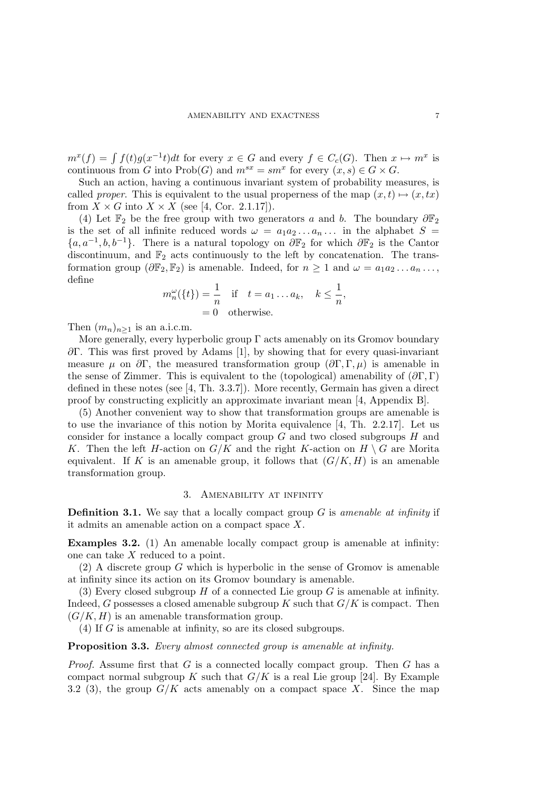$m^x(f) = \int f(t)g(x^{-1}t)dt$  for every  $x \in G$  and every  $f \in C_c(G)$ . Then  $x \mapsto m^x$  is continuous from G into  $\text{Prob}(G)$  and  $m^{sx} = sm^x$  for every  $(x, s) \in G \times G$ .

Such an action, having a continuous invariant system of probability measures, is called proper. This is equivalent to the usual properness of the map  $(x, t) \mapsto (x, tx)$ from  $X \times G$  into  $X \times X$  (see [4, Cor. 2.1.17]).

(4) Let  $\mathbb{F}_2$  be the free group with two generators a and b. The boundary  $\partial \mathbb{F}_2$ is the set of all infinite reduced words  $\omega = a_1 a_2 \dots a_n \dots$  in the alphabet  $S =$  ${a, a<sup>-1</sup>, b, b<sup>-1</sup>}$ . There is a natural topology on  $\partial \mathbb{F}_2$  for which  $\partial \mathbb{F}_2$  is the Cantor discontinuum, and  $\mathbb{F}_2$  acts continuously to the left by concatenation. The transformation group  $(\partial \mathbb{F}_2, \mathbb{F}_2)$  is amenable. Indeed, for  $n \geq 1$  and  $\omega = a_1 a_2 \dots a_n \dots$ , define

$$
m_n^{\omega}(\{t\}) = \frac{1}{n} \quad \text{if} \quad t = a_1 \dots a_k, \quad k \le \frac{1}{n},
$$
  
= 0 otherwise.

Then  $(m_n)_{n\geq 1}$  is an a.i.c.m.

More generally, every hyperbolic group Γ acts amenably on its Gromov boundary ∂Γ. This was first proved by Adams [1], by showing that for every quasi-invariant measure  $\mu$  on  $\partial \Gamma$ , the measured transformation group  $(\partial \Gamma, \Gamma, \mu)$  is amenable in the sense of Zimmer. This is equivalent to the (topological) amenability of  $(\partial \Gamma, \Gamma)$ defined in these notes (see [4, Th. 3.3.7]). More recently, Germain has given a direct proof by constructing explicitly an approximate invariant mean [4, Appendix B].

(5) Another convenient way to show that transformation groups are amenable is to use the invariance of this notion by Morita equivalence [4, Th. 2.2.17]. Let us consider for instance a locally compact group  $G$  and two closed subgroups  $H$  and K. Then the left H-action on  $G/K$  and the right K-action on  $H \setminus G$  are Morita equivalent. If K is an amenable group, it follows that  $(G/K, H)$  is an amenable transformation group.

#### 3. Amenability at infinity

**Definition 3.1.** We say that a locally compact group  $G$  is amenable at infinity if it admits an amenable action on a compact space X.

Examples 3.2. (1) An amenable locally compact group is amenable at infinity: one can take X reduced to a point.

(2) A discrete group G which is hyperbolic in the sense of Gromov is amenable at infinity since its action on its Gromov boundary is amenable.

(3) Every closed subgroup  $H$  of a connected Lie group  $G$  is amenable at infinity. Indeed, G possesses a closed amenable subgroup K such that  $G/K$  is compact. Then  $(G/K, H)$  is an amenable transformation group.

(4) If G is amenable at infinity, so are its closed subgroups.

## Proposition 3.3. Every almost connected group is amenable at infinity.

*Proof.* Assume first that  $G$  is a connected locally compact group. Then  $G$  has a compact normal subgroup K such that  $G/K$  is a real Lie group [24]. By Example 3.2 (3), the group  $G/K$  acts amenably on a compact space X. Since the map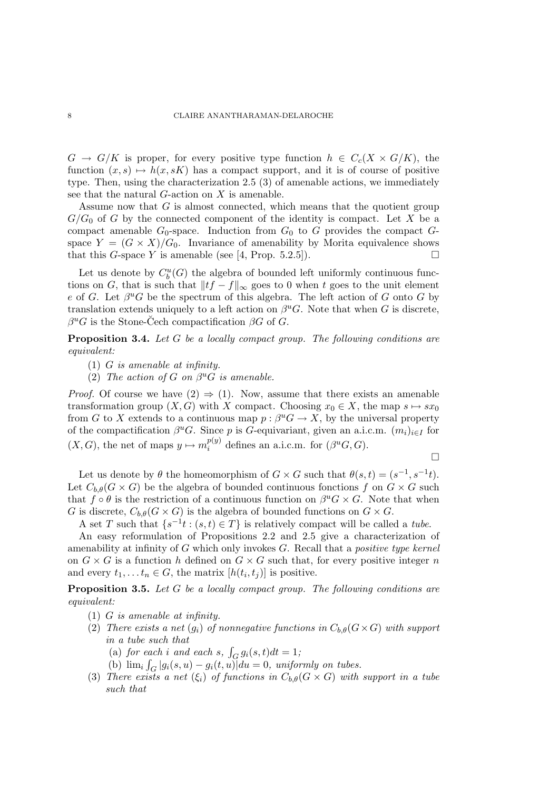$G \to G/K$  is proper, for every positive type function  $h \in C_c(X \times G/K)$ , the function  $(x, s) \mapsto h(x, sK)$  has a compact support, and it is of course of positive type. Then, using the characterization 2.5 (3) of amenable actions, we immediately see that the natural  $G$ -action on  $X$  is amenable.

Assume now that G is almost connected, which means that the quotient group  $G/G_0$  of G by the connected component of the identity is compact. Let X be a compact amenable  $G_0$ -space. Induction from  $G_0$  to G provides the compact  $G$ space  $Y = (G \times X)/G_0$ . Invariance of amenability by Morita equivalence shows that this G-space Y is amenable (see [4, Prop. 5.2.5]).

Let us denote by  $C_b^u(G)$  the algebra of bounded left uniformly continuous functions on G, that is such that  $||tf - f||_{\infty}$  goes to 0 when t goes to the unit element e of G. Let  $\beta^u G$  be the spectrum of this algebra. The left action of G onto G by translation extends uniquely to a left action on  $\beta^u G$ . Note that when G is discrete,  $\beta^u G$  is the Stone-Čech compactification  $\beta G$  of G.

Proposition 3.4. Let G be a locally compact group. The following conditions are equivalent:

- (1) G is amenable at infinity.
- (2) The action of G on  $\beta^u G$  is amenable.

*Proof.* Of course we have  $(2) \Rightarrow (1)$ . Now, assume that there exists an amenable transformation group  $(X, G)$  with X compact. Choosing  $x_0 \in X$ , the map  $s \mapsto sx_0$ from G to X extends to a continuous map  $p: \beta^u G \to X$ , by the universal property of the compactification  $\beta^u G$ . Since p is G-equivariant, given an a.i.c.m.  $(m_i)_{i \in I}$  for  $(X, G)$ , the net of maps  $y \mapsto m_i^{p(y)}$  $i^{p(y)}$  defines an a.i.c.m. for  $(\beta^u G, G)$ .

 $\Box$ 

Let us denote by  $\theta$  the homeomorphism of  $G \times G$  such that  $\theta(s,t) = (s^{-1}, s^{-1}t)$ . Let  $C_{b,\theta}(G\times G)$  be the algebra of bounded continuous fonctions f on  $G\times G$  such that  $f \circ \theta$  is the restriction of a continuous function on  $\beta^u G \times G$ . Note that when G is discrete,  $C_{b,\theta}(G \times G)$  is the algebra of bounded functions on  $G \times G$ .

A set T such that  $\{s^{-1}t : (s,t) \in T\}$  is relatively compact will be called a tube.

An easy reformulation of Propositions 2.2 and 2.5 give a characterization of amenability at infinity of  $G$  which only invokes  $G$ . Recall that a *positive type kernel* on  $G \times G$  is a function h defined on  $G \times G$  such that, for every positive integer n and every  $t_1, \ldots t_n \in G$ , the matrix  $[h(t_i, t_j)]$  is positive.

Proposition 3.5. Let G be a locally compact group. The following conditions are equivalent:

- (1) G is amenable at infinity.
- (2) There exists a net  $(g_i)$  of nonnegative functions in  $C_{b,\theta}(G\times G)$  with support in a tube such that
	- (a) for each i and each s,  $\int_G g_i(s,t)dt = 1;$
	- (b)  $\lim_i \int_G |g_i(s, u) g_i(t, u)| du = 0$ , uniformly on tubes.
- (3) There exists a net  $(\xi_i)$  of functions in  $C_{b,\theta}(G\times G)$  with support in a tube such that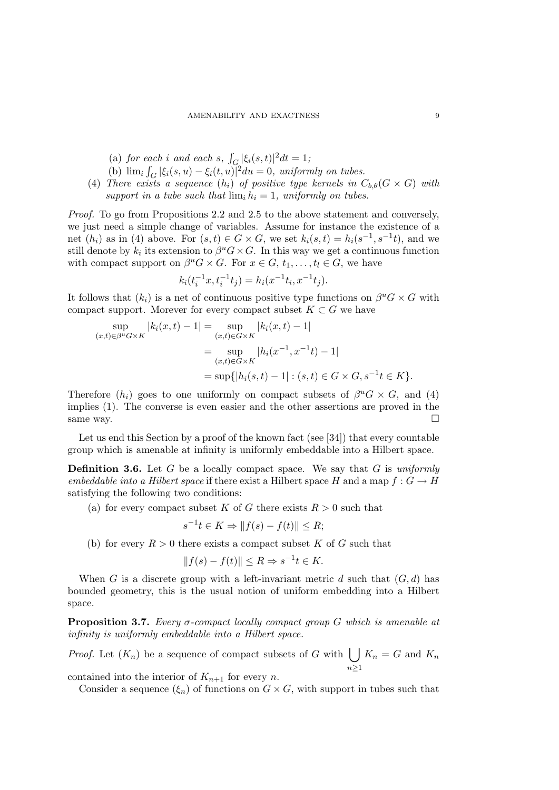- (a) for each i and each s,  $\int_{G} |\xi_i(s,t)|^2 dt = 1$ ;
- (b)  $\lim_i \int_G |\xi_i(s, u) \xi_i(t, u)|^2 du = 0$ , uniformly on tubes.
- (4) There exists a sequence  $(h_i)$  of positive type kernels in  $C_{b,\theta}(G \times G)$  with support in a tube such that  $\lim_i h_i = 1$ , uniformly on tubes.

Proof. To go from Propositions 2.2 and 2.5 to the above statement and conversely, we just need a simple change of variables. Assume for instance the existence of a net  $(h_i)$  as in (4) above. For  $(s,t) \in G \times G$ , we set  $k_i(s,t) = h_i(s^{-1}, s^{-1}t)$ , and we still denote by  $k_i$  its extension to  $\beta^u G \times G$ . In this way we get a continuous function with compact support on  $\beta^u G \times G$ . For  $x \in G$ ,  $t_1, \ldots, t_l \in G$ , we have

$$
k_i(t_i^{-1}x, t_i^{-1}t_j) = h_i(x^{-1}t_i, x^{-1}t_j).
$$

It follows that  $(k_i)$  is a net of continuous positive type functions on  $\beta^u G \times G$  with compact support. Morever for every compact subset  $K \subset G$  we have

$$
\sup_{(x,t)\in\beta^u G\times K} |k_i(x,t) - 1| = \sup_{(x,t)\in G\times K} |k_i(x,t) - 1|
$$
  
= 
$$
\sup_{(x,t)\in G\times K} |h_i(x^{-1}, x^{-1}t) - 1|
$$
  
= 
$$
\sup\{|h_i(s,t) - 1| : (s,t) \in G\times G, s^{-1}t \in K\}.
$$

Therefore  $(h_i)$  goes to one uniformly on compact subsets of  $\beta^u G \times G$ , and (4) implies (1). The converse is even easier and the other assertions are proved in the same way.  $\Box$ 

Let us end this Section by a proof of the known fact (see [34]) that every countable group which is amenable at infinity is uniformly embeddable into a Hilbert space.

**Definition 3.6.** Let G be a locally compact space. We say that G is uniformly embeddable into a Hilbert space if there exist a Hilbert space H and a map  $f: G \to H$ satisfying the following two conditions:

(a) for every compact subset K of G there exists  $R > 0$  such that

$$
s^{-1}t \in K \Rightarrow ||f(s) - f(t)|| \le R;
$$

(b) for every  $R > 0$  there exists a compact subset K of G such that

$$
||f(s) - f(t)|| \le R \Rightarrow s^{-1}t \in K.
$$

When G is a discrete group with a left-invariant metric d such that  $(G, d)$  has bounded geometry, this is the usual notion of uniform embedding into a Hilbert space.

**Proposition 3.7.** Every  $\sigma$ -compact locally compact group G which is amenable at infinity is uniformly embeddable into a Hilbert space.

*Proof.* Let  $(K_n)$  be a sequence of compact subsets of G with  $\bigcup$  $n\geq 1$  $K_n = G$  and  $K_n$ 

contained into the interior of  $K_{n+1}$  for every n.

Consider a sequence  $(\xi_n)$  of functions on  $G \times G$ , with support in tubes such that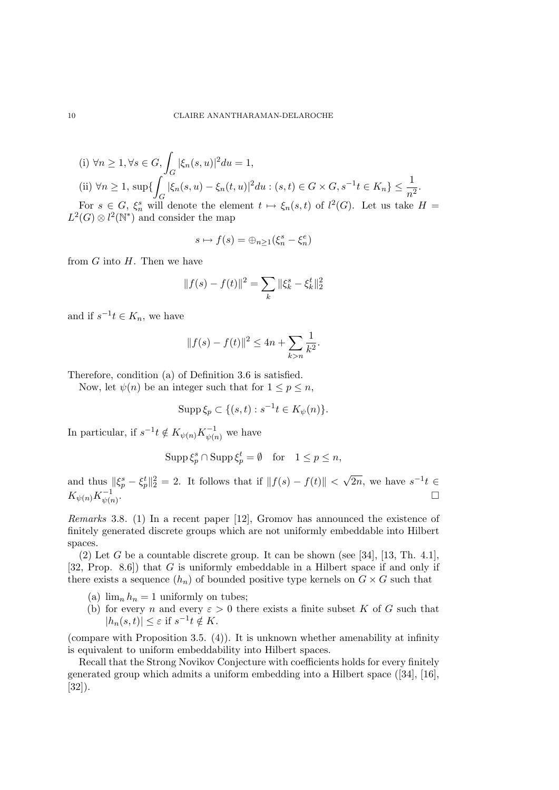(i) 
$$
\forall n \ge 1, \forall s \in G, \int_G |\xi_n(s, u)|^2 du = 1
$$
,  
\n(ii)  $\forall n \ge 1$ ,  $\sup\{\int_G |\xi_n(s, u) - \xi_n(t, u)|^2 du : (s, t) \in G \times G, s^{-1}t \in K_n\} \le \frac{1}{n^2}$ .  
\nFor  $s \in G$ ,  $\xi_n^s$  will denote the element  $t \mapsto \xi_n(s, t)$  of  $l^2(G)$ . Let us take  $H = L^2(G) \otimes l^2(\mathbb{N}^*)$  and consider the map

$$
s \mapsto f(s) = \bigoplus_{n \ge 1} (\xi_n^s - \xi_n^e)
$$

from  $G$  into  $H$ . Then we have

$$
||f(s) - f(t)||^2 = \sum_{k} ||\xi_k^s - \xi_k^t||_2^2
$$

and if  $s^{-1}t \in K_n$ , we have

$$
||f(s) - f(t)||^2 \le 4n + \sum_{k > n} \frac{1}{k^2}.
$$

Therefore, condition (a) of Definition 3.6 is satisfied.

Now, let  $\psi(n)$  be an integer such that for  $1 \leq p \leq n$ ,

$$
\operatorname{Supp} \xi_p \subset \{ (s, t) : s^{-1}t \in K_{\psi}(n) \}.
$$

In particular, if  $s^{-1}t \notin K_{\psi(n)}K_{\psi(n)}^{-1}$  we have

$$
Supp \, \xi_p^s \cap \operatorname{Supp} \xi_p^t = \emptyset \quad \text{for} \quad 1 \le p \le n,
$$

and thus  $\|\xi_p^s - \xi_p^t\|_2^2 = 2$ . It follows that if  $||f(s) - f(t)||$  < √  $\overline{2n}$ , we have  $s^{-1}t \in$  $K_{\psi(n)}K_{\psi(n)}^{-1}$ .

Remarks 3.8. (1) In a recent paper [12], Gromov has announced the existence of finitely generated discrete groups which are not uniformly embeddable into Hilbert spaces.

(2) Let G be a countable discrete group. It can be shown (see [34], [13, Th. 4.1], [32, Prop. 8.6]) that G is uniformly embeddable in a Hilbert space if and only if there exists a sequence  $(h_n)$  of bounded positive type kernels on  $G \times G$  such that

- (a)  $\lim_{n} h_n = 1$  uniformly on tubes;
- (b) for every n and every  $\varepsilon > 0$  there exists a finite subset K of G such that  $|h_n(s,t)| \leq \varepsilon$  if  $s^{-1}t \notin K$ .

(compare with Proposition 3.5. (4)). It is unknown whether amenability at infinity is equivalent to uniform embeddability into Hilbert spaces.

Recall that the Strong Novikov Conjecture with coefficients holds for every finitely generated group which admits a uniform embedding into a Hilbert space ([34], [16], [32]).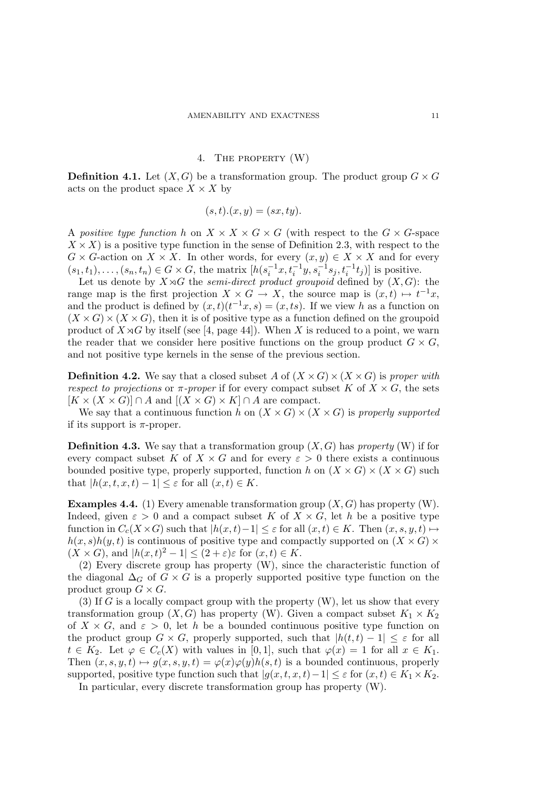# 4. The property (W)

**Definition 4.1.** Let  $(X, G)$  be a transformation group. The product group  $G \times G$ acts on the product space  $X \times X$  by

$$
(s,t).(x,y)=(sx,ty).
$$

A positive type function h on  $X \times X \times G \times G$  (with respect to the  $G \times G$ -space  $X \times X$ ) is a positive type function in the sense of Definition 2.3, with respect to the  $G \times G$ -action on  $X \times X$ . In other words, for every  $(x, y) \in X \times X$  and for every  $(s_1, t_1), \ldots, (s_n, t_n) \in G \times G$ , the matrix  $[h(s_i^{-1}x, t_i^{-1}y, s_i^{-1}s_j, t_i^{-1}t_j)]$  is positive.

Let us denote by  $X \rtimes G$  the *semi-direct product groupoid* defined by  $(X, G)$ : the range map is the first projection  $X \times G \to X$ , the source map is  $(x,t) \mapsto t^{-1}x$ , and the product is defined by  $(x,t)(t^{-1}x,s) = (x, ts)$ . If we view h as a function on  $(X \times G) \times (X \times G)$ , then it is of positive type as a function defined on the groupoid product of  $X \rtimes G$  by itself (see [4, page 44]). When X is reduced to a point, we warn the reader that we consider here positive functions on the group product  $G \times G$ , and not positive type kernels in the sense of the previous section.

**Definition 4.2.** We say that a closed subset A of  $(X \times G) \times (X \times G)$  is proper with respect to projections or  $\pi$ -proper if for every compact subset K of  $X \times G$ , the sets  $[K \times (X \times G)] \cap A$  and  $[(X \times G) \times K] \cap A$  are compact.

We say that a continuous function h on  $(X \times G) \times (X \times G)$  is properly supported if its support is  $\pi$ -proper.

**Definition 4.3.** We say that a transformation group  $(X, G)$  has property (W) if for every compact subset K of  $X \times G$  and for every  $\varepsilon > 0$  there exists a continuous bounded positive type, properly supported, function h on  $(X \times G) \times (X \times G)$  such that  $|h(x, t, x, t) - 1| \leq \varepsilon$  for all  $(x, t) \in K$ .

**Examples 4.4.** (1) Every amenable transformation group  $(X, G)$  has property (W). Indeed, given  $\varepsilon > 0$  and a compact subset K of  $X \times G$ , let h be a positive type function in  $C_c(X \times G)$  such that  $|h(x,t)-1| \leq \varepsilon$  for all  $(x,t) \in K$ . Then  $(x, s, y, t) \mapsto$  $h(x, s)h(y, t)$  is continuous of positive type and compactly supported on  $(X \times G)$  $(X \times G)$ , and  $|h(x,t)^2 - 1| \leq (2 + \varepsilon)\varepsilon$  for  $(x,t) \in K$ .

(2) Every discrete group has property (W), since the characteristic function of the diagonal  $\Delta_G$  of  $G \times G$  is a properly supported positive type function on the product group  $G \times G$ .

(3) If G is a locally compact group with the property  $(W)$ , let us show that every transformation group  $(X, G)$  has property (W). Given a compact subset  $K_1 \times K_2$ of  $X \times G$ , and  $\varepsilon > 0$ , let h be a bounded continuous positive type function on the product group  $G \times G$ , properly supported, such that  $|h(t, t) - 1| \leq \varepsilon$  for all  $t \in K_2$ . Let  $\varphi \in C_c(X)$  with values in [0, 1], such that  $\varphi(x) = 1$  for all  $x \in K_1$ . Then  $(x, s, y, t) \mapsto q(x, s, y, t) = \varphi(x)\varphi(y)h(s, t)$  is a bounded continuous, properly supported, positive type function such that  $|g(x, t, x, t)-1| \leq \varepsilon$  for  $(x, t) \in K_1 \times K_2$ .

In particular, every discrete transformation group has property (W).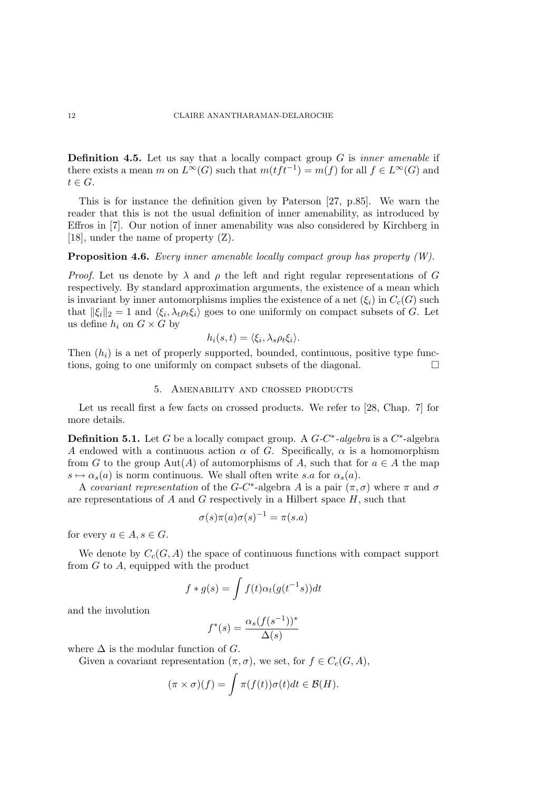**Definition 4.5.** Let us say that a locally compact group  $G$  is *inner amenable* if there exists a mean m on  $L^{\infty}(G)$  such that  $m(tft^{-1}) = m(f)$  for all  $f \in L^{\infty}(G)$  and  $t \in G$ .

This is for instance the definition given by Paterson [27, p.85]. We warn the reader that this is not the usual definition of inner amenability, as introduced by Effros in [7]. Our notion of inner amenability was also considered by Kirchberg in [18], under the name of property (Z).

## **Proposition 4.6.** Every inner amenable locally compact group has property  $(W)$ .

*Proof.* Let us denote by  $\lambda$  and  $\rho$  the left and right regular representations of G respectively. By standard approximation arguments, the existence of a mean which is invariant by inner automorphisms implies the existence of a net  $(\xi_i)$  in  $C_c(G)$  such that  $\|\xi_i\|_2 = 1$  and  $\langle \xi_i, \lambda_t \rho_t \xi_i \rangle$  goes to one uniformly on compact subsets of G. Let us define  $h_i$  on  $G \times G$  by

$$
h_i(s,t) = \langle \xi_i, \lambda_s \rho_t \xi_i \rangle.
$$

Then  $(h_i)$  is a net of properly supported, bounded, continuous, positive type functions, going to one uniformly on compact subsets of the diagonal.

#### 5. Amenability and crossed products

Let us recall first a few facts on crossed products. We refer to [28, Chap. 7] for more details.

**Definition 5.1.** Let G be a locally compact group. A  $G-C^*$ -algebra is a  $C^*$ -algebra A endowed with a continuous action  $\alpha$  of G. Specifically,  $\alpha$  is a homomorphism from G to the group Aut(A) of automorphisms of A, such that for  $a \in A$  the map  $s \mapsto \alpha_s(a)$  is norm continuous. We shall often write s.a for  $\alpha_s(a)$ .

A covariant representation of the G-C<sup>\*</sup>-algebra A is a pair  $(\pi, \sigma)$  where  $\pi$  and  $\sigma$ are representations of A and G respectively in a Hilbert space  $H$ , such that

$$
\sigma(s)\pi(a)\sigma(s)^{-1} = \pi(s.a)
$$

for every  $a \in A$ ,  $s \in G$ .

We denote by  $C_c(G, A)$  the space of continuous functions with compact support from G to A, equipped with the product

$$
f * g(s) = \int f(t)\alpha_t(g(t^{-1}s))dt
$$

and the involution

$$
f^*(s) = \frac{\alpha_s(f(s^{-1}))^*}{\Delta(s)}
$$

where  $\Delta$  is the modular function of G.

Given a covariant representation  $(\pi, \sigma)$ , we set, for  $f \in C_c(G, A)$ ,

$$
(\pi \times \sigma)(f) = \int \pi(f(t))\sigma(t)dt \in \mathcal{B}(H).
$$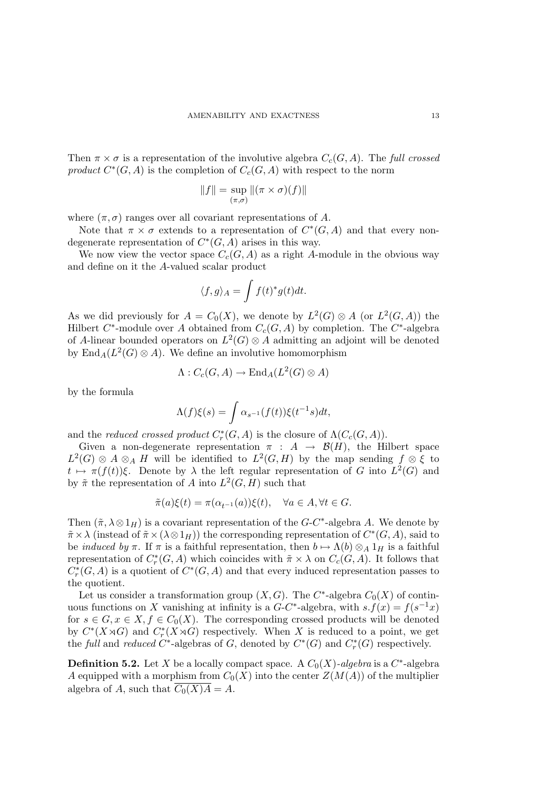Then  $\pi \times \sigma$  is a representation of the involutive algebra  $C_c(G, A)$ . The full crossed product  $C^*(G, A)$  is the completion of  $C_c(G, A)$  with respect to the norm

$$
||f|| = \sup_{(\pi,\sigma)} ||(\pi \times \sigma)(f)||
$$

where  $(\pi, \sigma)$  ranges over all covariant representations of A.

Note that  $\pi \times \sigma$  extends to a representation of  $C^*(G, A)$  and that every nondegenerate representation of  $C^*(G, A)$  arises in this way.

We now view the vector space  $C_c(G, A)$  as a right A-module in the obvious way and define on it the A-valued scalar product

$$
\langle f, g \rangle_A = \int f(t)^* g(t) dt.
$$

As we did previously for  $A = C_0(X)$ , we denote by  $L^2(G) \otimes A$  (or  $L^2(G, A)$ ) the Hilbert  $C^*$ -module over A obtained from  $C_c(G, A)$  by completion. The  $C^*$ -algebra of A-linear bounded operators on  $L^2(G) \otimes A$  admitting an adjoint will be denoted by  $\text{End}_A(L^2(G) \otimes A)$ . We define an involutive homomorphism

$$
\Lambda: C_c(G, A) \to \text{End}_A(L^2(G) \otimes A)
$$

by the formula

$$
\Lambda(f)\xi(s) = \int \alpha_{s^{-1}}(f(t))\xi(t^{-1}s)dt,
$$

and the reduced crossed product  $C_r^*(G, A)$  is the closure of  $\Lambda(C_c(G, A))$ .

Given a non-degenerate representation  $\pi$  :  $A \rightarrow \mathcal{B}(H)$ , the Hilbert space  $L^2(G) \otimes A \otimes_A H$  will be identified to  $L^2(G,H)$  by the map sending  $f \otimes \xi$  to  $t \mapsto \pi(f(t))\xi$ . Denote by  $\lambda$  the left regular representation of G into  $L^2(G)$  and by  $\tilde{\pi}$  the representation of A into  $L^2(G, H)$  such that

$$
\tilde{\pi}(a)\xi(t) = \pi(\alpha_{t^{-1}}(a))\xi(t), \quad \forall a \in A, \forall t \in G.
$$

Then  $(\tilde{\pi}, \lambda \otimes 1_H)$  is a covariant representation of the G-C<sup>\*</sup>-algebra A. We denote by  $\tilde{\pi} \times \lambda$  (instead of  $\tilde{\pi} \times (\lambda \otimes 1_H)$ ) the corresponding representation of  $C^*(G, A)$ , said to be *induced by*  $\pi$ . If  $\pi$  is a faithful representation, then  $b \mapsto \Lambda(b) \otimes_A 1_H$  is a faithful representation of  $C_r^*(G, A)$  which coincides with  $\tilde{\pi} \times \lambda$  on  $C_c(G, A)$ . It follows that  $C^*_r(G, A)$  is a quotient of  $C^*(G, A)$  and that every induced representation passes to the quotient.

Let us consider a transformation group  $(X, G)$ . The  $C^*$ -algebra  $C_0(X)$  of continuous functions on X vanishing at infinity is a  $G-C^*$ -algebra, with  $s.f(x) = f(s^{-1}x)$ for  $s \in G$ ,  $x \in X$ ,  $f \in C_0(X)$ . The corresponding crossed products will be denoted by  $C^*(X \rtimes G)$  and  $C^*_r(X \rtimes G)$  respectively. When X is reduced to a point, we get the full and reduced  $C^*$ -algebras of G, denoted by  $C^*(G)$  and  $C_r^*(G)$  respectively.

**Definition 5.2.** Let X be a locally compact space. A  $C_0(X)$ -algebra is a  $C^*$ -algebra A equipped with a morphism from  $C_0(X)$  into the center  $Z(M(A))$  of the multiplier algebra of A, such that  $\overline{C_0(X)A} = A$ .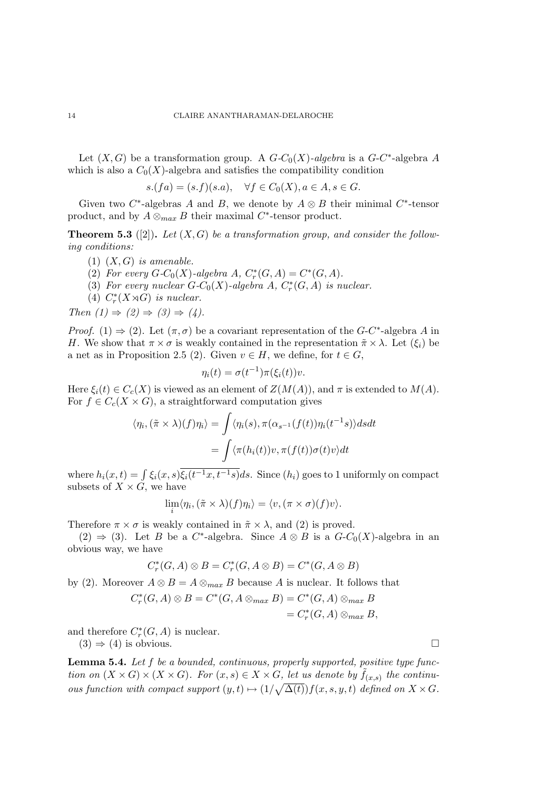Let  $(X, G)$  be a transformation group. A  $G-C_0(X)$ -algebra is a  $G-C^*$ -algebra A which is also a  $C_0(X)$ -algebra and satisfies the compatibility condition

$$
s.(fa) = (s.f)(s.a), \quad \forall f \in C_0(X), a \in A, s \in G.
$$

Given two  $C^*$ -algebras A and B, we denote by  $A \otimes B$  their minimal  $C^*$ -tensor product, and by  $A \otimes_{max} B$  their maximal  $C^*$ -tensor product.

**Theorem 5.3** ([2]). Let  $(X, G)$  be a transformation group, and consider the following conditions:

- (1)  $(X, G)$  is amenable.
- (2) For every  $G-C_0(X)$ -algebra  $A, C^*_r(G, A) = C^*(G, A)$ .
- (3) For every nuclear  $G-C_0(X)$ -algebra  $A, C^*_r(G, A)$  is nuclear.
- (4)  $C_r^*(X \rtimes G)$  is nuclear.

Then  $(1) \Rightarrow (2) \Rightarrow (3) \Rightarrow (4)$ .

*Proof.* (1)  $\Rightarrow$  (2). Let  $(\pi, \sigma)$  be a covariant representation of the G-C<sup>\*</sup>-algebra A in H. We show that  $\pi \times \sigma$  is weakly contained in the representation  $\tilde{\pi} \times \lambda$ . Let  $(\xi_i)$  be a net as in Proposition 2.5 (2). Given  $v \in H$ , we define, for  $t \in G$ ,

$$
\eta_i(t) = \sigma(t^{-1})\pi(\xi_i(t))v.
$$

Here  $\xi_i(t) \in C_c(X)$  is viewed as an element of  $Z(M(A))$ , and  $\pi$  is extended to  $M(A)$ . For  $f \in C_c(X \times G)$ , a straightforward computation gives

$$
\langle \eta_i, (\tilde{\pi} \times \lambda)(f) \eta_i \rangle = \int \langle \eta_i(s), \pi(\alpha_{s^{-1}}(f(t)) \eta_i(t^{-1}s) \rangle ds dt
$$

$$
= \int \langle \pi(h_i(t))v, \pi(f(t))\sigma(t)v \rangle dt
$$

where  $h_i(x,t) = \int \xi_i(x,s)\xi_i(t^{-1}x, t^{-1}s)ds$ . Since  $(h_i)$  goes to 1 uniformly on compact subsets of  $X \times G$ , we have

$$
\lim_{i} \langle \eta_i, (\tilde{\pi} \times \lambda)(f) \eta_i \rangle = \langle v, (\pi \times \sigma)(f) \nu \rangle.
$$

Therefore  $\pi \times \sigma$  is weakly contained in  $\tilde{\pi} \times \lambda$ , and (2) is proved.

(2)  $\Rightarrow$  (3). Let B be a C<sup>\*</sup>-algebra. Since  $A \otimes B$  is a G-C<sub>0</sub>(X)-algebra in an obvious way, we have

$$
C_r^*(G, A) \otimes B = C_r^*(G, A \otimes B) = C^*(G, A \otimes B)
$$

by (2). Moreover  $A \otimes B = A \otimes_{max} B$  because A is nuclear. It follows that

$$
C_r^*(G, A) \otimes B = C^*(G, A \otimes_{max} B) = C^*(G, A) \otimes_{max} B
$$
  
=  $C_r^*(G, A) \otimes_{max} B$ ,

and therefore  $C_r^*(G, A)$  is nuclear.

 $(3) \Rightarrow (4)$  is obvious.

**Lemma 5.4.** Let  $f$  be a bounded, continuous, properly supported, positive type function on  $(X \times G) \times (X \times G)$ . For  $(x, s) \in X \times G$ , let us denote by  $\tilde{f}_{(x, s)}$  the continuous function with compact support  $(y, t) \mapsto (1/\sqrt{\Delta(t)}) f(x, s, y, t)$  defined on  $X \times G$ .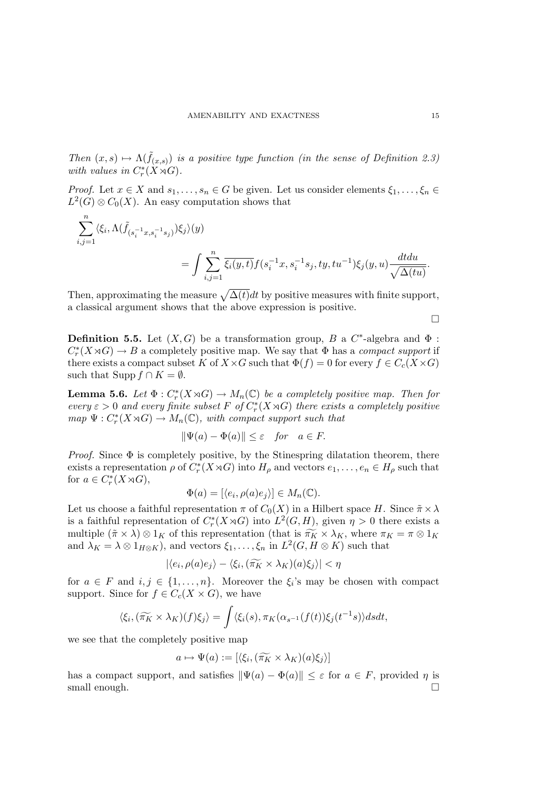Then  $(x, s) \mapsto \Lambda(\tilde{f}_{(x, s)})$  is a positive type function (in the sense of Definition 2.3) with values in  $C_r^*(X \rtimes G)$ .

*Proof.* Let  $x \in X$  and  $s_1, \ldots, s_n \in G$  be given. Let us consider elements  $\xi_1, \ldots, \xi_n \in G$  $L^2(G) \otimes C_0(X)$ . An easy computation shows that

$$
\begin{split} \sum_{i,j=1}^n & \langle \xi_i, \Lambda(\tilde{f}_{(s_i^{-1}x,s_i^{-1}s_j)})\xi_j\rangle(y) \\ & = \int \sum_{i,j=1}^n \overline{\xi_i(y,t)} f(s_i^{-1}x,s_i^{-1}s_j,ty,tu^{-1}) \xi_j(y,u) \frac{dtdu}{\sqrt{\Delta(tu)}}. \end{split}
$$

Then, approximating the measure  $\sqrt{\Delta(t)}dt$  by positive measures with finite support, a classical argument shows that the above expression is positive.

**Definition 5.5.** Let  $(X, G)$  be a transformation group, B a  $C^*$ -algebra and  $\Phi$ :  $C_r^*(X \rtimes G) \to B$  a completely positive map. We say that  $\Phi$  has a *compact support* if there exists a compact subset K of  $X\times G$  such that  $\Phi(f)=0$  for every  $f\in C_c(X\times G)$ such that Supp  $f \cap K = \emptyset$ .

**Lemma 5.6.** Let  $\Phi: C_r^*(X \rtimes G) \to M_n(\mathbb{C})$  be a completely positive map. Then for every  $\varepsilon > 0$  and every finite subset F of  $C_r^*(X \rtimes G)$  there exists a completely positive  $map \Psi : C_r^*(X \rtimes G) \to M_n(\mathbb{C}),$  with compact support such that

$$
\|\Psi(a) - \Phi(a)\| \le \varepsilon \quad \text{for} \quad a \in F.
$$

*Proof.* Since  $\Phi$  is completely positive, by the Stinespring dilatation theorem, there exists a representation  $\rho$  of  $C_r^*(X \rtimes G)$  into  $H_\rho$  and vectors  $e_1, \ldots, e_n \in H_\rho$  such that for  $a \in C_r^*(X \rtimes G)$ ,

$$
\Phi(a) = [\langle e_i, \rho(a)e_j \rangle] \in M_n(\mathbb{C}).
$$

Let us choose a faithful representation  $\pi$  of  $C_0(X)$  in a Hilbert space H. Since  $\tilde{\pi} \times \lambda$ is a faithful representation of  $C_r^*(X \rtimes G)$  into  $L^2(G, H)$ , given  $\eta > 0$  there exists a multiple  $(\tilde{\pi} \times \lambda) \otimes 1_K$  of this representation (that is  $\widetilde{\pi_K} \times \lambda_K$ , where  $\pi_K = \pi \otimes 1_K$ and  $\lambda_K = \lambda \otimes 1_{H \otimes K}$ , and vectors  $\xi_1, \ldots, \xi_n$  in  $L^2(G, H \otimes K)$  such that

$$
|\langle e_i, \rho(a)e_j \rangle - \langle \xi_i, (\widetilde{\pi_K} \times \lambda_K)(a)\xi_j \rangle| < \eta
$$

for  $a \in F$  and  $i, j \in \{1, ..., n\}$ . Moreover the  $\xi_i$ 's may be chosen with compact support. Since for  $f \in C_c(X \times G)$ , we have

$$
\langle \xi_i, (\widetilde{\pi_K} \times \lambda_K)(f)\xi_j \rangle = \int \langle \xi_i(s), \pi_K(\alpha_{s^{-1}}(f(t))\xi_j(t^{-1}s) \rangle ds dt,
$$

we see that the completely positive map

$$
a \mapsto \Psi(a) := [\langle \xi_i, (\widetilde{\pi_K} \times \lambda_K)(a) \xi_j \rangle]
$$

has a compact support, and satisfies  $\|\Psi(a) - \Phi(a)\| \leq \varepsilon$  for  $a \in F$ , provided  $\eta$  is small enough.  $\Box$ 

 $\Box$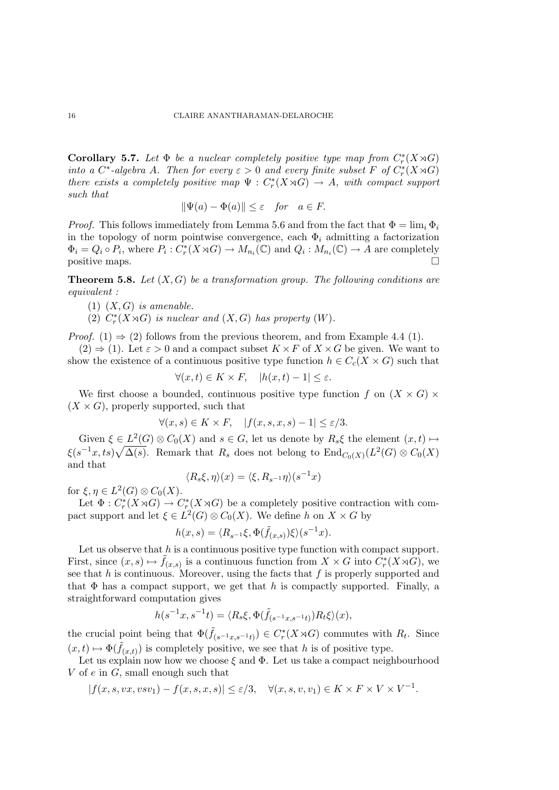Corollary 5.7. Let  $\Phi$  be a nuclear completely positive type map from  $C_r^*(X \rtimes G)$ into a  $C^*$ -algebra A. Then for every  $\varepsilon > 0$  and every finite subset F of  $C^*_r(X \rtimes G)$ there exists a completely positive map  $\Psi : C_r^*(X \rtimes G) \to A$ , with compact support such that

$$
\|\Psi(a) - \Phi(a)\| \le \varepsilon \quad \text{for} \quad a \in F.
$$

*Proof.* This follows immediately from Lemma 5.6 and from the fact that  $\Phi = \lim_i \Phi_i$ in the topology of norm pointwise convergence, each  $\Phi_i$  admitting a factorization  $\Phi_i = Q_i \circ P_i$ , where  $P_i : C_r^*(X \rtimes G) \to M_{n_i}(\mathbb{C})$  and  $Q_i : M_{n_i}(\mathbb{C}) \to A$  are completely positive maps.

**Theorem 5.8.** Let  $(X, G)$  be a transformation group. The following conditions are equivalent :

- (1)  $(X, G)$  is amenable.
- (2)  $C_r^*(X \rtimes G)$  is nuclear and  $(X, G)$  has property  $(W)$ .

*Proof.* (1)  $\Rightarrow$  (2) follows from the previous theorem, and from Example 4.4 (1).

 $(2) \Rightarrow (1)$ . Let  $\varepsilon > 0$  and a compact subset  $K \times F$  of  $X \times G$  be given. We want to show the existence of a continuous positive type function  $h \in C_c(X \times G)$  such that

$$
\forall (x,t)\in K\times F, \quad |h(x,t)-1|\leq \varepsilon.
$$

We first choose a bounded, continuous positive type function f on  $(X \times G)$  $(X \times G)$ , properly supported, such that

$$
\forall (x, s) \in K \times F, \quad |f(x, s, x, s) - 1| \le \varepsilon/3.
$$

Given  $\xi \in L^2(G) \otimes C_0(X)$  and  $s \in G$ , let us denote by  $R_s \xi$  the element  $(x, t) \mapsto$  $\xi(s^{-1}x, ts)\sqrt{\Delta(s)}$ . Remark that  $R_s$  does not belong to  $\text{End}_{C_0(X)}(L^2(G) \otimes C_0(X))$ and that

$$
\langle R_s \xi, \eta \rangle (x) = \langle \xi, R_{s^{-1}} \eta \rangle (s^{-1} x)
$$

for  $\xi, \eta \in L^2(G) \otimes C_0(X)$ .

Let  $\Phi: C_r^*(X \rtimes G) \to C_r^*(X \rtimes G)$  be a completely positive contraction with compact support and let  $\xi \in L^2(G) \otimes C_0(X)$ . We define h on  $X \times G$  by

$$
h(x,s) = \langle R_{s^{-1}}\xi, \Phi(\tilde{f}_{(x,s)})\xi \rangle (s^{-1}x).
$$

Let us observe that  $h$  is a continuous positive type function with compact support. First, since  $(x, s) \mapsto \tilde{f}(x, s)$  is a continuous function from  $X \times G$  into  $C_r^*(X \rtimes G)$ , we see that  $h$  is continuous. Moreover, using the facts that  $f$  is properly supported and that  $\Phi$  has a compact support, we get that h is compactly supported. Finally, a straightforward computation gives

$$
h(s^{-1}x, s^{-1}t) = \langle R_s \xi, \Phi(\tilde{f}_{(s^{-1}x, s^{-1}t)}) R_t \xi \rangle(x),
$$

the crucial point being that  $\Phi(\tilde{f}_{(s^{-1}x,s^{-1}t)}) \in C_r^*(X \rtimes G)$  commutes with  $R_t$ . Since  $(x,t) \mapsto \Phi(\tilde{f}_{(x,t)})$  is completely positive, we see that h is of positive type.

Let us explain now how we choose  $\xi$  and  $\Phi$ . Let us take a compact neighbourhood V of  $e$  in  $G$ , small enough such that

 $|f(x, s, vx, vsv_1) - f(x, s, x, s)| \leq \varepsilon/3, \quad \forall (x, s, v, v_1) \in K \times F \times V \times V^{-1}.$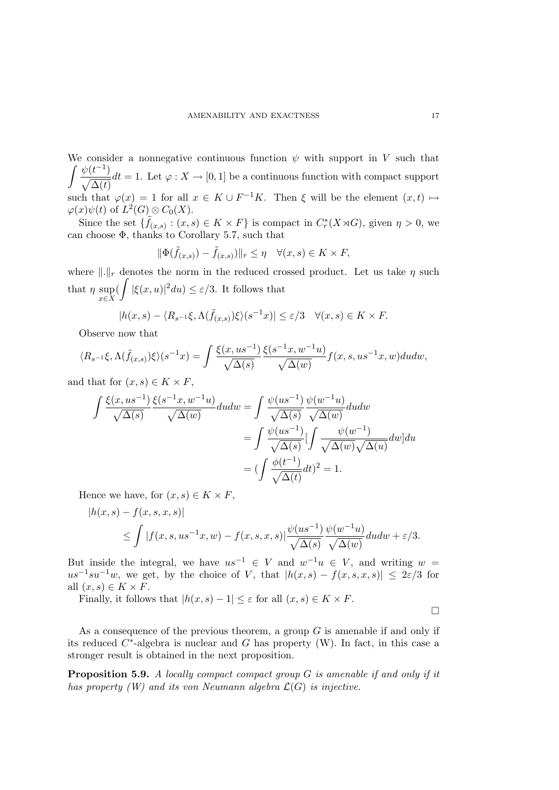We consider a nonnegative continuous function  $\psi$  with support in V such that  $\int \psi(t^{-1})$  $\sqrt{\Delta(t)}$  $dt = 1$ . Let  $\varphi: X \to [0, 1]$  be a continuous function with compact support such that  $\varphi(x) = 1$  for all  $x \in K \cup F^{-1}K$ . Then  $\xi$  will be the element  $(x, t) \mapsto$  $\varphi(x)\psi(t)$  of  $L^2(G) \otimes C_0(X)$ .

Since the set  $\{\tilde{f}_{(x,s)} : (x,s) \in K \times F\}$  is compact in  $C_r^*(X \rtimes G)$ , given  $\eta > 0$ , we can choose Φ, thanks to Corollary 5.7, such that

$$
\|\Phi(\tilde{f}_{(x,s)}) - \tilde{f}_{(x,s)})\|_{r} \leq \eta \quad \forall (x,s) \in K \times F,
$$

where  $\|\cdot\|_r$  denotes the norm in the reduced crossed product. Let us take  $\eta$  such that  $\eta$  sup x∈X  $\int_{0}^{1} |\xi(x, u)|^2 du \leq \varepsilon/3$ . It follows that

$$
|h(x,s) - \langle R_{s^{-1}}\xi, \Lambda(\tilde{f}_{(x,s)})\xi \rangle(s^{-1}x)| \le \varepsilon/3 \quad \forall (x,s) \in K \times F.
$$

Observe now that

$$
\langle R_{s^{-1}}\xi, \Lambda(\tilde{f}_{(x,s)})\xi\rangle(s^{-1}x) = \int \frac{\xi(x,us^{-1})}{\sqrt{\Delta(s)}} \frac{\xi(s^{-1}x,w^{-1}u)}{\sqrt{\Delta(w)}} f(x,s,us^{-1}x,w)dudw,
$$

and that for  $(x, s) \in K \times F$ ,

$$
\int \frac{\xi(x,us^{-1})}{\sqrt{\Delta(s)}} \frac{\xi(s^{-1}x,w^{-1}u)}{\sqrt{\Delta(w)}} du dw = \int \frac{\psi(us^{-1})}{\sqrt{\Delta(s)}} \frac{\psi(w^{-1}u)}{\sqrt{\Delta(w)}} du dw
$$

$$
= \int \frac{\psi(us^{-1})}{\sqrt{\Delta(s)}} [\int \frac{\psi(w^{-1})}{\sqrt{\Delta(w)}} dw] dw
$$

$$
= (\int \frac{\phi(t^{-1})}{\sqrt{\Delta(t)}} dt)^2 = 1.
$$

Hence we have, for  $(x, s) \in K \times F$ ,

$$
|h(x,s) - f(x,s,x,s)|
$$
  
\n
$$
\leq \int |f(x,s,us^{-1}x,w) - f(x,s,x,s)| \frac{\psi(us^{-1})}{\sqrt{\Delta(s)}} \frac{\psi(w^{-1}u)}{\sqrt{\Delta(w)}} du dw + \varepsilon/3.
$$

But inside the integral, we have  $us^{-1} \in V$  and  $w^{-1}u \in V$ , and writing  $w =$  $us^{-1}su^{-1}w$ , we get, by the choice of V, that  $|h(x,s) - f(x,s,x,s)| \leq 2\varepsilon/3$  for all  $(x, s) \in K \times F$ .

Finally, it follows that  $|h(x, s) - 1| \leq \varepsilon$  for all  $(x, s) \in K \times F$ .

As a consequence of the previous theorem, a group  $G$  is amenable if and only if its reduced  $C^*$ -algebra is nuclear and  $G$  has property (W). In fact, in this case a stronger result is obtained in the next proposition.

**Proposition 5.9.** A locally compact compact group  $G$  is amenable if and only if it has property  $(W)$  and its von Neumann algebra  $\mathcal{L}(G)$  is injective.

 $\Box$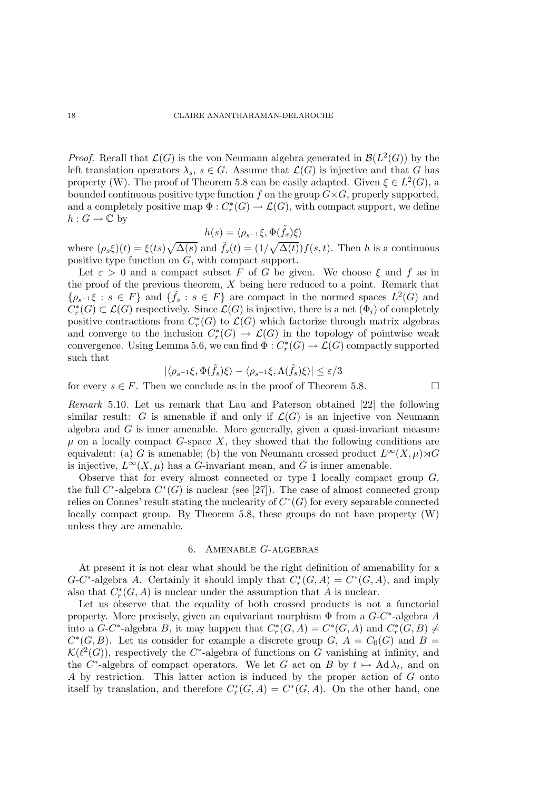*Proof.* Recall that  $\mathcal{L}(G)$  is the von Neumann algebra generated in  $\mathcal{B}(L^2(G))$  by the left translation operators  $\lambda_s$ ,  $s \in G$ . Assume that  $\mathcal{L}(G)$  is injective and that G has property (W). The proof of Theorem 5.8 can be easily adapted. Given  $\xi \in L^2(G)$ , a bounded continuous positive type function f on the group  $G\times G$ , properly supported, and a completely positive map  $\Phi: C^*_r(G) \to \mathcal{L}(G)$ , with compact support, we define  $h: G \to \mathbb{C}$  by

$$
h(s) = \langle \rho_{s^{-1}} \xi, \Phi(\tilde{f}_s) \xi \rangle
$$

where  $(\rho_s \xi)(t) = \xi(ts) \sqrt{\Delta(s)}$  and  $\tilde{f}_s(t) = (1/\sqrt{\Delta(t)}) f(s, t)$ . Then h is a continuous positive type function on G, with compact support.

Let  $\varepsilon > 0$  and a compact subset F of G be given. We choose  $\xi$  and f as in the proof of the previous theorem,  $X$  being here reduced to a point. Remark that  $\{\rho_{s-1}\xi : s \in F\}$  and  $\{\tilde{f}_s : s \in F\}$  are compact in the normed spaces  $L^2(G)$  and  $C^*_r(G) \subset \mathcal{L}(G)$  respectively. Since  $\mathcal{L}(G)$  is injective, there is a net  $(\Phi_i)$  of completely positive contractions from  $C_r^*(G)$  to  $\mathcal{L}(G)$  which factorize through matrix algebras and converge to the inclusion  $C_r^*(G) \to \mathcal{L}(G)$  in the topology of pointwise weak convergence. Using Lemma 5.6, we can find  $\Phi: C^*_r(G) \to \mathcal{L}(G)$  compactly supported such that

$$
|\langle \rho_{s^{-1}}\xi,\Phi(\tilde{f}_s)\xi\rangle-\langle \rho_{s^{-1}}\xi,\Lambda(\tilde{f}_s)\xi\rangle|\leq \varepsilon/3
$$

for every  $s \in F$ . Then we conclude as in the proof of Theorem 5.8.

Remark 5.10. Let us remark that Lau and Paterson obtained [22] the following similar result: G is amenable if and only if  $\mathcal{L}(G)$  is an injective von Neumann algebra and  $G$  is inner amenable. More generally, given a quasi-invariant measure  $\mu$  on a locally compact G-space X, they showed that the following conditions are equivalent: (a) G is amenable; (b) the von Neumann crossed product  $L^{\infty}(X,\mu)\rtimes G$ is injective,  $L^{\infty}(X,\mu)$  has a G-invariant mean, and G is inner amenable.

Observe that for every almost connected or type I locally compact group  $G$ , the full  $C^*$ -algebra  $C^*(G)$  is nuclear (see [27]). The case of almost connected group relies on Connes' result stating the nuclearity of  $C^*(G)$  for every separable connected locally compact group. By Theorem 5.8, these groups do not have property (W) unless they are amenable.

# 6. Amenable G-algebras

At present it is not clear what should be the right definition of amenability for a  $G-C^*$ -algebra A. Certainly it should imply that  $C^*_r(G, A) = C^*(G, A)$ , and imply also that  $C_r^*(G, A)$  is nuclear under the assumption that A is nuclear.

Let us observe that the equality of both crossed products is not a functorial property. More precisely, given an equivariant morphism  $\Phi$  from a  $G-C^*$ -algebra A into a  $G-C^*$ -algebra  $B$ , it may happen that  $C^*_r(G, A) = C^*(G, A)$  and  $C^*_r(G, B) \neq$  $C<sup>*</sup>(G, B)$ . Let us consider for example a discrete group G,  $A = C<sub>0</sub>(G)$  and  $B =$  $\mathcal{K}(\ell^2(G))$ , respectively the C<sup>\*</sup>-algebra of functions on G vanishing at infinity, and the C<sup>\*</sup>-algebra of compact operators. We let G act on B by  $t \mapsto \text{Ad}\lambda_t$ , and on A by restriction. This latter action is induced by the proper action of G onto itself by translation, and therefore  $C_r^*(G, A) = C^*(G, A)$ . On the other hand, one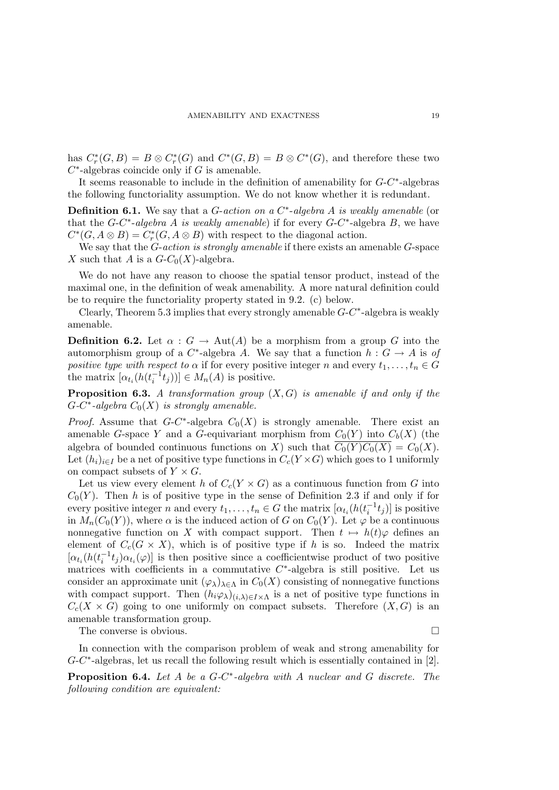has  $C^*_r(G, B) = B \otimes C^*_r(G)$  and  $C^*(G, B) = B \otimes C^*(G)$ , and therefore these two  $C^*$ -algebras coincide only if G is amenable.

It seems reasonable to include in the definition of amenability for  $G-C^*$ -algebras the following functoriality assumption. We do not know whether it is redundant.

**Definition 6.1.** We say that a *G*-action on a  $C^*$ -algebra *A* is weakly amenable (or that the  $G-C^*$ -algebra A is weakly amenable) if for every  $G-C^*$ -algebra B, we have  $C^*(G, A \otimes B) = C^*_r(G, A \otimes B)$  with respect to the diagonal action.

We say that the  $G$ -action is strongly amenable if there exists an amenable  $G$ -space X such that A is a  $G-C_0(X)$ -algebra.

We do not have any reason to choose the spatial tensor product, instead of the maximal one, in the definition of weak amenability. A more natural definition could be to require the functoriality property stated in 9.2. (c) below.

Clearly, Theorem 5.3 implies that every strongly amenable  $G-C^*$ -algebra is weakly amenable.

**Definition 6.2.** Let  $\alpha$  :  $G \to \text{Aut}(A)$  be a morphism from a group G into the automorphism group of a  $C^*$ -algebra A. We say that a function  $h: G \to A$  is of positive type with respect to  $\alpha$  if for every positive integer n and every  $t_1, \ldots, t_n \in G$ the matrix  $[\alpha_{t_i}(h(t_i^{-1}t_j))] \in M_n(A)$  is positive.

**Proposition 6.3.** A transformation group  $(X, G)$  is amenable if and only if the  $G-C^*$ -algebra  $C_0(X)$  is strongly amenable.

*Proof.* Assume that  $G-C^*$ -algebra  $C_0(X)$  is strongly amenable. There exist an amenable G-space Y and a G-equivariant morphism from  $C_0(Y)$  into  $C_b(X)$  (the algebra of bounded continuous functions on X) such that  $\overline{C_0(Y)C_0(X)} = C_0(X)$ . Let  $(h_i)_{i\in I}$  be a net of positive type functions in  $C_c(Y\times G)$  which goes to 1 uniformly on compact subsets of  $Y \times G$ .

Let us view every element h of  $C_c(Y \times G)$  as a continuous function from G into  $C_0(Y)$ . Then h is of positive type in the sense of Definition 2.3 if and only if for every positive integer n and every  $t_1, \ldots, t_n \in G$  the matrix  $[\alpha_{t_i}(h(t_i^{-1}t_j))]$  is positive in  $M_n(C_0(Y))$ , where  $\alpha$  is the induced action of G on  $C_0(Y)$ . Let  $\varphi$  be a continuous nonnegative function on X with compact support. Then  $t \mapsto h(t)\varphi$  defines an element of  $C_c(G \times X)$ , which is of positive type if h is so. Indeed the matrix  $[\alpha_{t_i}(h(t_i^{-1}t_j)\alpha_{t_i}(\varphi)]$  is then positive since a coefficientwise product of two positive matrices with coefficients in a commutative  $C^*$ -algebra is still positive. Let us consider an approximate unit  $(\varphi_{\lambda})_{\lambda \in \Lambda}$  in  $C_0(X)$  consisting of nonnegative functions with compact support. Then  $(h_i\varphi_\lambda)_{(i,\lambda)\in I\times\Lambda}$  is a net of positive type functions in  $C_c(X \times G)$  going to one uniformly on compact subsets. Therefore  $(X, G)$  is an amenable transformation group.

The converse is obvious.

In connection with the comparison problem of weak and strong amenability for  $G-C^*$ -algebras, let us recall the following result which is essentially contained in [2].

**Proposition 6.4.** Let  $A$  be a  $G-C^*$ -algebra with  $A$  nuclear and  $G$  discrete. The following condition are equivalent: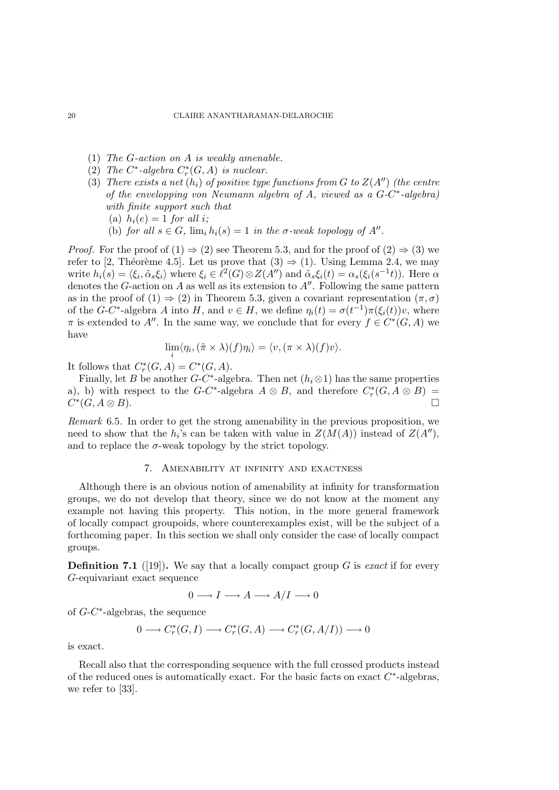- (1) The G-action on A is weakly amenable.
- (2) The  $C^*$ -algebra  $C_r^*(G, A)$  is nuclear.
- (3) There exists a net  $(h_i)$  of positive type functions from G to  $Z(A'')$  (the centre of the envelopping von Neumann algebra of  $A$ , viewed as a  $G-C^*$ -algebra) with finite support such that
	- (a)  $h_i(e) = 1$  for all i;
	- (b) for all  $s \in G$ ,  $\lim_i h_i(s) = 1$  in the  $\sigma$ -weak topology of  $A''$ .

*Proof.* For the proof of  $(1) \Rightarrow (2)$  see Theorem 5.3, and for the proof of  $(2) \Rightarrow (3)$  we refer to [2, Théorème 4.5]. Let us prove that  $(3) \Rightarrow (1)$ . Using Lemma 2.4, we may write  $h_i(s) = \langle \xi_i, \tilde{\alpha}_s \xi_i \rangle$  where  $\xi_i \in \ell^2(G) \otimes Z(A'')$  and  $\tilde{\alpha}_s \xi_i(t) = \alpha_s(\xi_i(s^{-1}t))$ . Here  $\alpha$ denotes the G-action on A as well as its extension to  $A''$ . Following the same pattern as in the proof of (1)  $\Rightarrow$  (2) in Theorem 5.3, given a covariant representation  $(\pi, \sigma)$ of the G-C<sup>\*</sup>-algebra A into H, and  $v \in H$ , we define  $\eta_i(t) = \sigma(t^{-1})\pi(\xi_i(t))v$ , where  $\pi$  is extended to A''. In the same way, we conclude that for every  $f \in C^*(G, A)$  we have

$$
\lim_{i} \langle \eta_i, (\tilde{\pi} \times \lambda)(f) \eta_i \rangle = \langle v, (\pi \times \lambda)(f) \nu \rangle.
$$

It follows that  $C_r^*(G, A) = C^*(G, A)$ .

Finally, let B be another  $G-C^*$ -algebra. Then net  $(h_i\otimes 1)$  has the same properties a), b) with respect to the G-C<sup>\*</sup>-algebra  $A \otimes B$ , and therefore  $C_r^*(G, A \otimes B)$  $C^*(G, A \otimes B)$ .

Remark 6.5. In order to get the strong amenability in the previous proposition, we need to show that the  $h_i$ 's can be taken with value in  $Z(M(A))$  instead of  $Z(A'')$ , and to replace the  $\sigma$ -weak topology by the strict topology.

#### 7. Amenability at infinity and exactness

Although there is an obvious notion of amenability at infinity for transformation groups, we do not develop that theory, since we do not know at the moment any example not having this property. This notion, in the more general framework of locally compact groupoids, where counterexamples exist, will be the subject of a forthcoming paper. In this section we shall only consider the case of locally compact groups.

**Definition 7.1** ([19]). We say that a locally compact group G is exact if for every G-equivariant exact sequence

$$
0 \longrightarrow I \longrightarrow A \longrightarrow A/I \longrightarrow 0
$$

of G-C ∗ -algebras, the sequence

$$
0 \longrightarrow C_r^*(G,I) \longrightarrow C_r^*(G,A) \longrightarrow C_r^*(G,A/I)) \longrightarrow 0
$$

is exact.

Recall also that the corresponding sequence with the full crossed products instead of the reduced ones is automatically exact. For the basic facts on exact  $C^*$ -algebras, we refer to [33].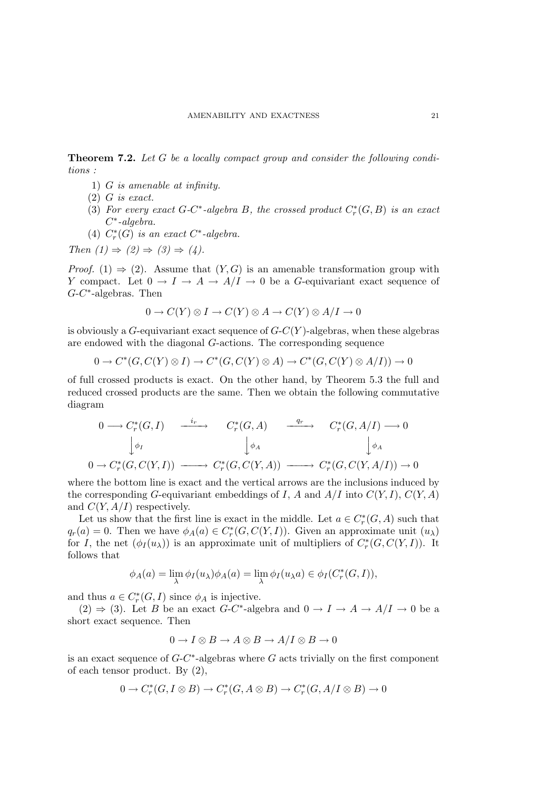Theorem 7.2. Let G be a locally compact group and consider the following conditions :

- 1) G is amenable at infinity.
- $(2)$  *G* is exact.
- (3) For every exact G-C<sup>\*</sup>-algebra B, the crossed product  $C_r^*(G, B)$  is an exact C ∗ -algebra.
- (4)  $C_r^*(G)$  is an exact  $C^*$ -algebra.

Then  $(1) \Rightarrow (2) \Rightarrow (3) \Rightarrow (4)$ .

*Proof.* (1)  $\Rightarrow$  (2). Assume that  $(Y, G)$  is an amenable transformation group with Y compact. Let  $0 \to I \to A \to A/I \to 0$  be a G-equivariant exact sequence of  $G-C^*$ -algebras. Then

$$
0 \to C(Y) \otimes I \to C(Y) \otimes A \to C(Y) \otimes A/I \to 0
$$

is obviously a  $G$ -equivariant exact sequence of  $G-C(Y)$ -algebras, when these algebras are endowed with the diagonal G-actions. The corresponding sequence

$$
0 \to C^*(G, C(Y) \otimes I) \to C^*(G, C(Y) \otimes A) \to C^*(G, C(Y) \otimes A/I)) \to 0
$$

of full crossed products is exact. On the other hand, by Theorem 5.3 the full and reduced crossed products are the same. Then we obtain the following commutative diagram

$$
0 \longrightarrow C_r^*(G, I) \xrightarrow{i_r} C_r^*(G, A) \xrightarrow{q_r} C_r^*(G, A/I) \longrightarrow 0
$$
  

$$
\downarrow \phi_I \qquad \qquad \downarrow \phi_A \qquad \qquad \downarrow \phi_A
$$
  

$$
0 \longrightarrow C_r^*(G, C(Y, I)) \longrightarrow C_r^*(G, C(Y, A)) \longrightarrow C_r^*(G, C(Y, A/I)) \longrightarrow 0
$$

where the bottom line is exact and the vertical arrows are the inclusions induced by the corresponding G-equivariant embeddings of I, A and  $A/I$  into  $C(Y, I)$ ,  $C(Y, A)$ and  $C(Y, A/I)$  respectively.

Let us show that the first line is exact in the middle. Let  $a \in C_r^*(G, A)$  such that  $q_r(a) = 0$ . Then we have  $\phi_A(a) \in C_r^*(G, C(Y, I))$ . Given an approximate unit  $(u_\lambda)$ for I, the net  $(\phi_I(u_\lambda))$  is an approximate unit of multipliers of  $C^*_r(G, C(Y, I))$ . It follows that

$$
\phi_A(a) = \lim_{\lambda} \phi_I(u_{\lambda}) \phi_A(a) = \lim_{\lambda} \phi_I(u_{\lambda}a) \in \phi_I(C_r^*(G,I)),
$$

and thus  $a \in C_r^*(G, I)$  since  $\phi_A$  is injective.

 $(2) \Rightarrow (3)$ . Let B be an exact G-C<sup>\*</sup>-algebra and  $0 \rightarrow I \rightarrow A \rightarrow A/I \rightarrow 0$  be a short exact sequence. Then

$$
0 \to I \otimes B \to A \otimes B \to A/I \otimes B \to 0
$$

is an exact sequence of  $G-C^*$ -algebras where G acts trivially on the first component of each tensor product. By (2),

$$
0 \to C^*_r(G, I \otimes B) \to C^*_r(G, A \otimes B) \to C^*_r(G, A/I \otimes B) \to 0
$$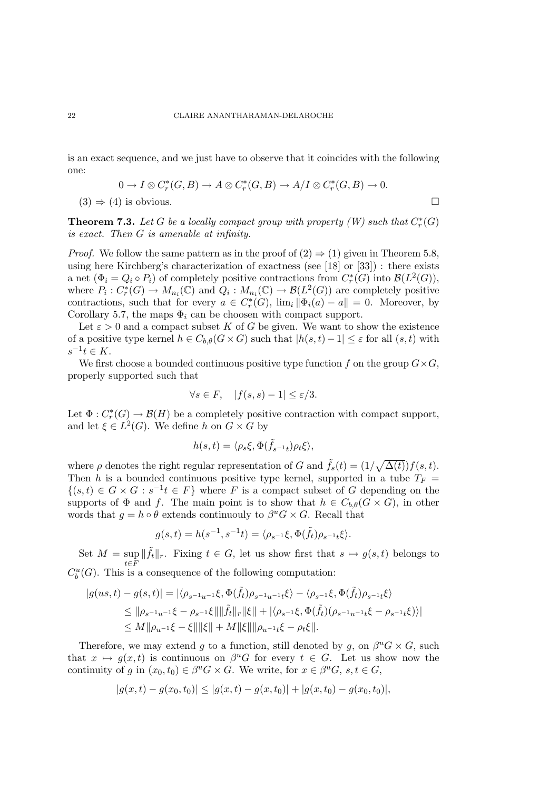is an exact sequence, and we just have to observe that it coincides with the following one:

$$
0 \to I \otimes C_r^*(G, B) \to A \otimes C_r^*(G, B) \to A/I \otimes C_r^*(G, B) \to 0.
$$
  
(3)  $\Rightarrow$  (4) is obvious.

**Theorem 7.3.** Let G be a locally compact group with property  $(W)$  such that  $C_r^*(G)$ is exact. Then G is amenable at infinity.

*Proof.* We follow the same pattern as in the proof of  $(2) \Rightarrow (1)$  given in Theorem 5.8, using here Kirchberg's characterization of exactness (see [18] or [33]) : there exists a net  $(\Phi_i = Q_i \circ P_i)$  of completely positive contractions from  $C_r^*(G)$  into  $\mathcal{B}(L^2(G))$ , where  $P_i: C^*_r(G) \to M_{n_i}(\mathbb{C})$  and  $Q_i: M_{n_i}(\mathbb{C}) \to \mathcal{B}(L^2(G))$  are completely positive contractions, such that for every  $a \in C_r^*(G)$ ,  $\lim_i ||\Phi_i(a) - a|| = 0$ . Moreover, by Corollary 5.7, the maps  $\Phi_i$  can be choosen with compact support.

Let  $\varepsilon > 0$  and a compact subset K of G be given. We want to show the existence of a positive type kernel  $h \in C_{b,\theta}(G \times G)$  such that  $|h(s,t)-1| \leq \varepsilon$  for all  $(s,t)$  with  $s^{-1}t \in K$ .

We first choose a bounded continuous positive type function f on the group  $G \times G$ , properly supported such that

$$
\forall s \in F, \quad |f(s, s) - 1| \le \varepsilon/3.
$$

Let  $\Phi: C_r^*(G) \to \mathcal{B}(H)$  be a completely positive contraction with compact support, and let  $\xi \in L^2(G)$ . We define h on  $G \times G$  by

$$
h(s,t) = \langle \rho_s \xi, \Phi(\tilde{f}_{s^{-1}t}) \rho_t \xi \rangle,
$$

where  $\rho$  denotes the right regular representation of G and  $\tilde{f}_s(t) = (1/\sqrt{\Delta(t)})f(s,t)$ . Then h is a bounded continuous positive type kernel, supported in a tube  $T_F$  =  $\{(s,t)\in G\times G: s^{-1}t\in F\}$  where F is a compact subset of G depending on the supports of  $\Phi$  and f. The main point is to show that  $h \in C_{b,\theta}(G \times G)$ , in other words that  $g = h \circ \theta$  extends continuouly to  $\beta^u G \times G$ . Recall that

$$
g(s,t) = h(s^{-1}, s^{-1}t) = \langle \rho_{s^{-1}}\xi, \Phi(\tilde{f}_t)\rho_{s^{-1}t}\xi \rangle.
$$

Set  $M = \sup$ t∈F  $\|\tilde{f}_t\|_r$ . Fixing  $t \in G$ , let us show first that  $s \mapsto g(s,t)$  belongs to  $C_b^u(G)$ . This is a consequence of the following computation:

$$
\begin{aligned}|g(us,t)-g(s,t)|&=|\langle \rho_{s^{-1}u^{-1}}\xi,\Phi(\tilde{f}_t)\rho_{s^{-1}u^{-1}t}\xi\rangle-\langle \rho_{s^{-1}}\xi,\Phi(\tilde{f}_t)\rho_{s^{-1}t}\xi\rangle\\ &\leq \|\rho_{s^{-1}u^{-1}}\xi-\rho_{s^{-1}}\xi\|\|\tilde{f}_t\|_r\|\xi\|+|\langle \rho_{s^{-1}}\xi,\Phi(\tilde{f}_t)(\rho_{s^{-1}u^{-1}t}\xi-\rho_{s^{-1}t}\xi)\rangle|\\ &\leq M\|\rho_{u^{-1}}\xi-\xi\|\|\xi\|+M\|\xi\|\|\rho_{u^{-1}t}\xi-\rho_t\xi\|. \end{aligned}
$$

Therefore, we may extend g to a function, still denoted by g, on  $\beta^u G \times G$ , such that  $x \mapsto g(x, t)$  is continuous on  $\beta^u G$  for every  $t \in G$ . Let us show now the continuity of g in  $(x_0, t_0) \in \beta^u G \times G$ . We write, for  $x \in \beta^u G$ ,  $s, t \in G$ ,

$$
|g(x,t) - g(x_0, t_0)| \le |g(x,t) - g(x, t_0)| + |g(x, t_0) - g(x_0, t_0)|,
$$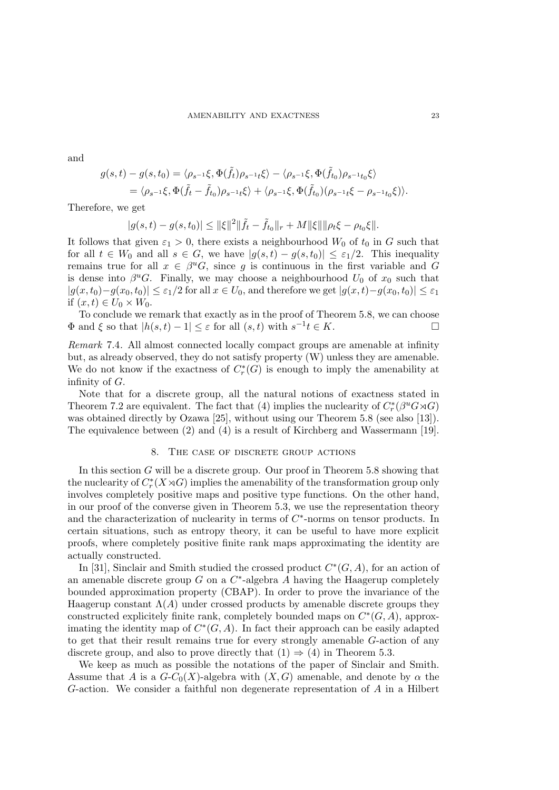and

$$
g(s,t) - g(s,t_0) = \langle \rho_{s^{-1}} \xi, \Phi(\tilde{f}_t) \rho_{s^{-1}t} \xi \rangle - \langle \rho_{s^{-1}} \xi, \Phi(\tilde{f}_{t_0}) \rho_{s^{-1}t_0} \xi \rangle
$$
  
=  $\langle \rho_{s^{-1}} \xi, \Phi(\tilde{f}_t - \tilde{f}_{t_0}) \rho_{s^{-1}t} \xi \rangle + \langle \rho_{s^{-1}} \xi, \Phi(\tilde{f}_{t_0}) (\rho_{s^{-1}t} \xi - \rho_{s^{-1}t_0} \xi) \rangle.$ 

Therefore, we get

$$
|g(s,t)-g(s,t_0)| \leq ||\xi||^2 ||\tilde{f}_t - \tilde{f}_{t_0}||_r + M||\xi|| ||\rho_t \xi - \rho_{t_0} \xi||.
$$

It follows that given  $\varepsilon_1 > 0$ , there exists a neighbourhood  $W_0$  of  $t_0$  in G such that for all  $t \in W_0$  and all  $s \in G$ , we have  $|g(s,t) - g(s,t_0)| \leq \varepsilon_1/2$ . This inequality remains true for all  $x \in \beta^u G$ , since g is continuous in the first variable and G is dense into  $\beta^u G$ . Finally, we may choose a neighbourhood  $U_0$  of  $x_0$  such that  $|g(x, t_0)-g(x_0, t_0)| \leq \varepsilon_1/2$  for all  $x \in U_0$ , and therefore we get  $|g(x, t)-g(x_0, t_0)| \leq \varepsilon_1$ if  $(x, t) \in U_0 \times W_0$ .

To conclude we remark that exactly as in the proof of Theorem 5.8, we can choose  $\Phi$  and  $\xi$  so that  $|h(s,t)-1| \leq \varepsilon$  for all  $(s,t)$  with  $s^{-1}t \in K$ .

Remark 7.4. All almost connected locally compact groups are amenable at infinity but, as already observed, they do not satisfy property (W) unless they are amenable. We do not know if the exactness of  $C_r^*(G)$  is enough to imply the amenability at infinity of  $G$ .

Note that for a discrete group, all the natural notions of exactness stated in Theorem 7.2 are equivalent. The fact that (4) implies the nuclearity of  $C_r^*(\beta^u G \rtimes G)$ was obtained directly by Ozawa [25], without using our Theorem 5.8 (see also [13]). The equivalence between (2) and (4) is a result of Kirchberg and Wassermann [19].

#### 8. The case of discrete group actions

In this section G will be a discrete group. Our proof in Theorem 5.8 showing that the nuclearity of  $C_r^*(X \rtimes G)$  implies the amenability of the transformation group only involves completely positive maps and positive type functions. On the other hand, in our proof of the converse given in Theorem 5.3, we use the representation theory and the characterization of nuclearity in terms of  $C^*$ -norms on tensor products. In certain situations, such as entropy theory, it can be useful to have more explicit proofs, where completely positive finite rank maps approximating the identity are actually constructed.

In [31], Sinclair and Smith studied the crossed product  $C^*(G, A)$ , for an action of an amenable discrete group  $G$  on a  $C^*$ -algebra  $A$  having the Haagerup completely bounded approximation property (CBAP). In order to prove the invariance of the Haagerup constant  $\Lambda(A)$  under crossed products by amenable discrete groups they constructed explicitely finite rank, completely bounded maps on  $C^*(G, A)$ , approximating the identity map of  $C<sup>*</sup>(G, A)$ . In fact their approach can be easily adapted to get that their result remains true for every strongly amenable G-action of any discrete group, and also to prove directly that  $(1) \Rightarrow (4)$  in Theorem 5.3.

We keep as much as possible the notations of the paper of Sinclair and Smith. Assume that A is a  $G-C_0(X)$ -algebra with  $(X, G)$  amenable, and denote by  $\alpha$  the G-action. We consider a faithful non degenerate representation of A in a Hilbert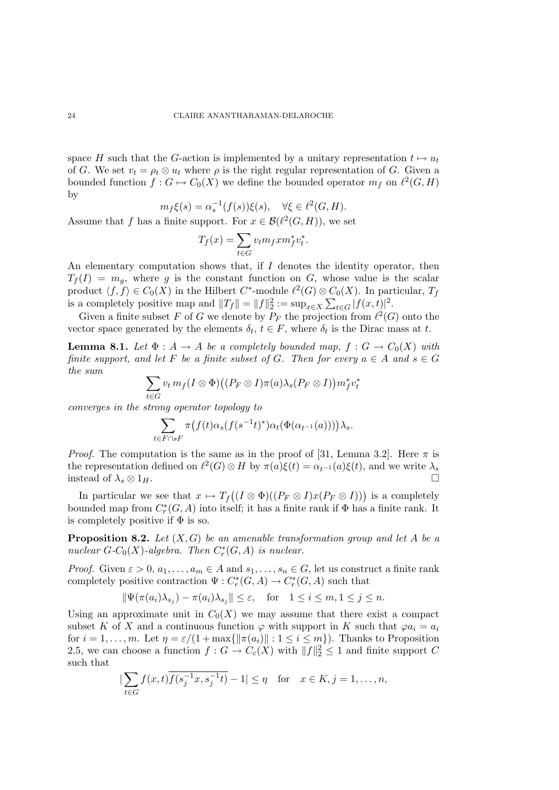space H such that the G-action is implemented by a unitary representation  $t \mapsto u_t$ of G. We set  $v_t = \rho_t \otimes u_t$  where  $\rho$  is the right regular representation of G. Given a bounded function  $f: G \mapsto C_0(X)$  we define the bounded operator  $m_f$  on  $\ell^2(G, H)$ by

$$
m_f \xi(s) = \alpha_s^{-1}(f(s))\xi(s), \quad \forall \xi \in \ell^2(G, H).
$$

Assume that f has a finite support. For  $x \in \mathcal{B}(\ell^2(G,H))$ , we set

$$
T_f(x) = \sum_{t \in G} v_t m_f x m_f^* v_t^*.
$$

An elementary computation shows that, if I denotes the identity operator, then  $T_f(I) = m_q$ , where g is the constant function on G, whose value is the scalar product  $\langle f, f \rangle \in C_0(X)$  in the Hilbert C<sup>\*</sup>-module  $\ell^2(G) \otimes C_0(X)$ . In particular,  $T_f$ is a completely positive map and  $||T_f|| = ||f||_2^2 := \sup_{x \in X} \sum_{t \in G} |f(x, t)|^2$ .

Given a finite subset F of G we denote by  $P_F$  the projection from  $\ell^2(G)$  onto the vector space generated by the elements  $\delta_t$ ,  $t \in F$ , where  $\delta_t$  is the Dirac mass at t.

**Lemma 8.1.** Let  $\Phi: A \to A$  be a completely bounded map,  $f: G \to C_0(X)$  with finite support, and let F be a finite subset of G. Then for every  $a \in A$  and  $s \in G$ the sum

$$
\sum_{t\in G} v_t\, m_f(I\otimes \Phi)\big((P_F\otimes I)\pi(a)\lambda_s(P_F\otimes I)\big) m_f^* v_t^*
$$

converges in the strong operator topology to

$$
\sum_{t \in F \cap sF} \pi\big(f(t)\alpha_s(f(s^{-1}t)^*)\alpha_t(\Phi(\alpha_{t^{-1}}(a)))\big)\lambda_s.
$$

*Proof.* The computation is the same as in the proof of [31, Lemma 3.2]. Here  $\pi$  is the representation defined on  $\ell^2(G) \otimes H$  by  $\pi(a)\xi(t) = \alpha_{t^{-1}}(a)\xi(t)$ , and we write  $\lambda_s$ instead of  $\lambda_s \otimes 1_H$ .

In particular we see that  $x \mapsto T_f((I \otimes \Phi)((P_F \otimes I)x(P_F \otimes I)))$  is a completely bounded map from  $C_r^*(G, A)$  into itself; it has a finite rank if  $\Phi$  has a finite rank. It is completely positive if  $\Phi$  is so.

**Proposition 8.2.** Let  $(X, G)$  be an amenable transformation group and let A be a nuclear  $G-C_0(X)$ -algebra. Then  $C^*_r(G, A)$  is nuclear.

*Proof.* Given  $\varepsilon > 0$ ,  $a_1, \ldots, a_m \in A$  and  $s_1, \ldots, s_n \in G$ , let us construct a finite rank completely positive contraction  $\Psi: C^*_r(G, A) \to C^*_r(G, A)$  such that

$$
\|\Psi(\pi(a_i)\lambda_{s_j}) - \pi(a_i)\lambda_{s_j}\| \le \varepsilon, \quad \text{for} \quad 1 \le i \le m, 1 \le j \le n.
$$

Using an approximate unit in  $C_0(X)$  we may assume that there exist a compact subset K of X and a continuous function  $\varphi$  with support in K such that  $\varphi a_i = a_i$ for  $i = 1, \ldots, m$ . Let  $\eta = \varepsilon/(1 + \max\{\|\pi(a_i)\| : 1 \le i \le m\})$ . Thanks to Proposition 2.5, we can choose a function  $f: G \to C_c(X)$  with  $||f||_2^2 \leq 1$  and finite support C such that

$$
|\sum_{t \in G} f(x, t) \overline{f(s_j^{-1}x, s_j^{-1}t)} - 1| \le \eta \quad \text{for} \quad x \in K, j = 1, \dots, n,
$$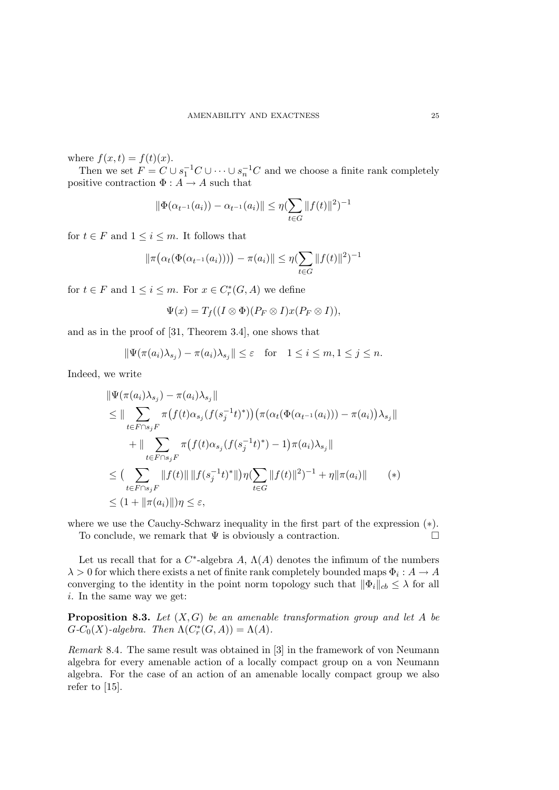where  $f(x,t) = f(t)(x)$ .

Then we set  $F = C \cup s_1^{-1}C \cup \cdots \cup s_n^{-1}C$  and we choose a finite rank completely positive contraction  $\Phi: A \to A$  such that

$$
\|\Phi(\alpha_{t^{-1}}(a_i)) - \alpha_{t^{-1}}(a_i)\| \le \eta \left(\sum_{t \in G} \|f(t)\|^2\right)^{-1}
$$

for  $t \in F$  and  $1 \leq i \leq m$ . It follows that

$$
\|\pi(\alpha_t(\Phi(\alpha_{t^{-1}}(a_i)))) - \pi(a_i)\| \leq \eta (\sum_{t \in G} \|f(t)\|^2)^{-1}
$$

for  $t \in F$  and  $1 \leq i \leq m$ . For  $x \in C_r^*(G, A)$  we define

$$
\Psi(x) = T_f((I \otimes \Phi)(P_F \otimes I)x(P_F \otimes I)),
$$

and as in the proof of [31, Theorem 3.4], one shows that

$$
\|\Psi(\pi(a_i)\lambda_{s_j}) - \pi(a_i)\lambda_{s_j}\| \le \varepsilon \quad \text{for} \quad 1 \le i \le m, 1 \le j \le n.
$$

Indeed, we write

$$
\|\Psi(\pi(a_i)\lambda_{s_j}) - \pi(a_i)\lambda_{s_j}\|
$$
\n
$$
\leq \|\sum_{t \in F \cap s_j F} \pi(f(t)\alpha_{s_j}(f(s_j^{-1}t)^*)) (\pi(\alpha_t(\Phi(\alpha_{t^{-1}}(a_i))) - \pi(a_i))\lambda_{s_j}\|
$$
\n
$$
+ \|\sum_{t \in F \cap s_j F} \pi(f(t)\alpha_{s_j}(f(s_j^{-1}t)^*) - 1)\pi(a_i)\lambda_{s_j}\|
$$
\n
$$
\leq (\sum_{t \in F \cap s_j F} \|f(t)\| \|f(s_j^{-1}t)^*\|)\eta(\sum_{t \in G} \|f(t)\|^2)^{-1} + \eta \|\pi(a_i)\| \qquad (*)
$$
\n
$$
\leq (1 + \|\pi(a_i)\|)\eta \leq \varepsilon,
$$

where we use the Cauchy-Schwarz inequality in the first part of the expression  $(*)$ . To conclude, we remark that  $\Psi$  is obviously a contraction.  $\Box$ 

Let us recall that for a  $C^*$ -algebra A,  $\Lambda(A)$  denotes the infimum of the numbers  $\lambda > 0$  for which there exists a net of finite rank completely bounded maps  $\Phi_i : A \to A$ converging to the identity in the point norm topology such that  $\|\Phi_i\|_{cb} \leq \lambda$  for all i. In the same way we get:

**Proposition 8.3.** Let  $(X, G)$  be an amenable transformation group and let A be  $G-C_0(X)$ -algebra. Then  $\Lambda(C^*_r(G,A)) = \Lambda(A)$ .

Remark 8.4. The same result was obtained in [3] in the framework of von Neumann algebra for every amenable action of a locally compact group on a von Neumann algebra. For the case of an action of an amenable locally compact group we also refer to [15].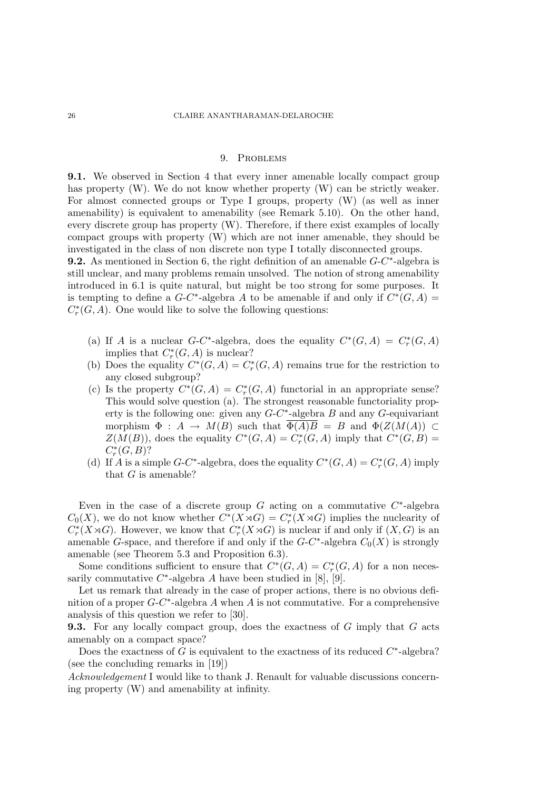# 9. Problems

9.1. We observed in Section 4 that every inner amenable locally compact group has property (W). We do not know whether property (W) can be strictly weaker. For almost connected groups or Type I groups, property (W) (as well as inner amenability) is equivalent to amenability (see Remark 5.10). On the other hand, every discrete group has property (W). Therefore, if there exist examples of locally compact groups with property (W) which are not inner amenable, they should be investigated in the class of non discrete non type I totally disconnected groups.

**9.2.** As mentioned in Section 6, the right definition of an amenable  $G-C^*$ -algebra is still unclear, and many problems remain unsolved. The notion of strong amenability introduced in 6.1 is quite natural, but might be too strong for some purposes. It is tempting to define a  $G-C^*$ -algebra A to be amenable if and only if  $C^*(G, A)$  $C_r^*(G, A)$ . One would like to solve the following questions:

- (a) If A is a nuclear G-C<sup>\*</sup>-algebra, does the equality  $C^*(G, A) = C_r^*(G, A)$ implies that  $C_r^*(G, A)$  is nuclear?
- (b) Does the equality  $C^*(G, A) = C_r^*(G, A)$  remains true for the restriction to any closed subgroup?
- (c) Is the property  $C^*(G, A) = C_r^*(G, A)$  functorial in an appropriate sense? This would solve question (a). The strongest reasonable functoriality property is the following one: given any  $G-C^*$ -algebra  $B$  and any  $G$ -equivariant morphism  $\Phi : A \to M(B)$  such that  $\overline{\Phi(A)B} = B$  and  $\Phi(Z(M(A))) \subset$  $Z(M(B))$ , does the equality  $C^*(G, A) = C^*_r(G, A)$  imply that  $C^*(G, B) =$  $C_r^*(G, B)$ ?
- (d) If A is a simple G-C<sup>\*</sup>-algebra, does the equality  $C^*(G, A) = C^*_r(G, A)$  imply that  $G$  is amenable?

Even in the case of a discrete group  $G$  acting on a commutative  $C^*$ -algebra  $C_0(X)$ , we do not know whether  $C^*(X \rtimes G) = C_r^*(X \rtimes G)$  implies the nuclearity of  $C_r^*(X \rtimes G)$ . However, we know that  $C_r^*(X \rtimes G)$  is nuclear if and only if  $(X, G)$  is an amenable G-space, and therefore if and only if the  $G-C^*$ -algebra  $C_0(X)$  is strongly amenable (see Theorem 5.3 and Proposition 6.3).

Some conditions sufficient to ensure that  $C^*(G, A) = C_r^*(G, A)$  for a non necessarily commutative  $C^*$ -algebra A have been studied in [8], [9].

Let us remark that already in the case of proper actions, there is no obvious definition of a proper  $G-C^*$ -algebra A when A is not commutative. For a comprehensive analysis of this question we refer to [30].

**9.3.** For any locally compact group, does the exactness of G imply that G acts amenably on a compact space?

Does the exactness of  $G$  is equivalent to the exactness of its reduced  $C^*$ -algebra? (see the concluding remarks in [19])

Acknowledgement I would like to thank J. Renault for valuable discussions concerning property (W) and amenability at infinity.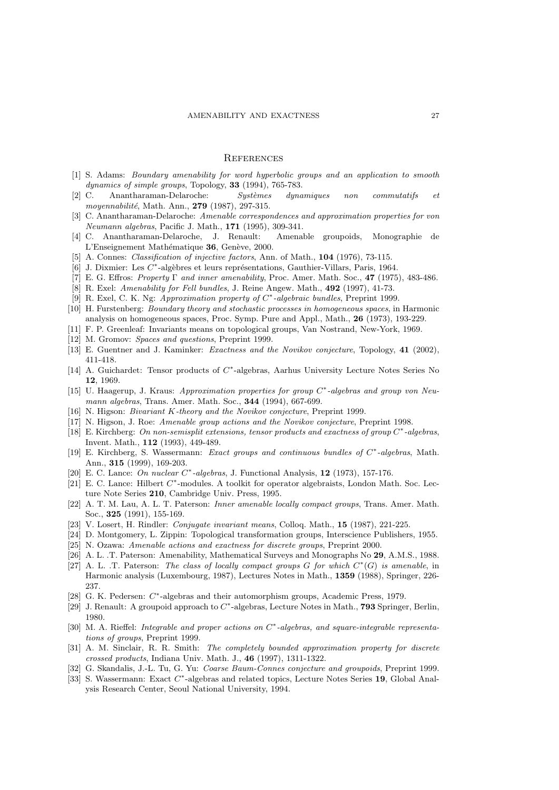# **REFERENCES**

- [1] S. Adams: Boundary amenability for word hyperbolic groups and an application to smooth dynamics of simple groups, Topology, 33 (1994), 765-783.
- [2] C. Anantharaman-Delaroche: Systèmes dynamiques non commutatifs et moyennabilité, Math. Ann., 279 (1987), 297-315.
- [3] C. Anantharaman-Delaroche: Amenable correspondences and approximation properties for von Neumann algebras, Pacific J. Math., 171 (1995), 309-341.
- [4] C. Anantharaman-Delaroche, J. Renault: Amenable groupoids, Monographie de L'Enseignement Mathématique 36, Genève, 2000.
- [5] A. Connes: *Classification of injective factors*, Ann. of Math., **104** (1976), 73-115.
- [6] J. Dixmier: Les  $C^*$ -algèbres et leurs représentations, Gauthier-Villars, Paris, 1964.
- [7] E. G. Effros: Property  $\Gamma$  and inner amenability, Proc. Amer. Math. Soc., 47 (1975), 483-486.
- [8] R. Exel: Amenability for Fell bundles, J. Reine Angew. Math., 492 (1997), 41-73.
- [9] R. Exel, C. K. Ng: Approximation property of C<sup>\*</sup>-algebraic bundles, Preprint 1999.
- [10] H. Furstenberg: Boundary theory and stochastic processes in homogeneous spaces, in Harmonic analysis on homogeneous spaces, Proc. Symp. Pure and Appl., Math., 26 (1973), 193-229.
- [11] F. P. Greenleaf: Invariants means on topological groups, Van Nostrand, New-York, 1969.
- [12] M. Gromov: Spaces and questions, Preprint 1999.
- [13] E. Guentner and J. Kaminker: *Exactness and the Novikov conjecture*, Topology, 41 (2002), 411-418.
- [14] A. Guichardet: Tensor products of  $C^*$ -algebras, Aarhus University Lecture Notes Series No 12, 1969.
- [15] U. Haagerup, J. Kraus: Approximation properties for group C<sup>\*</sup>-algebras and group von Neumann algebras, Trans. Amer. Math. Soc., 344 (1994), 667-699.
- [16] N. Higson: Bivariant K-theory and the Novikov conjecture, Preprint 1999.
- [17] N. Higson, J. Roe: Amenable group actions and the Novikov conjecture, Preprint 1998.
- [18] E. Kirchberg: On non-semisplit extensions, tensor products and exactness of group C\*-algebras, Invent. Math., 112 (1993), 449-489.
- [19] E. Kirchberg, S. Wassermann: Exact groups and continuous bundles of C<sup>\*</sup>-algebras, Math. Ann., 315 (1999), 169-203.
- [20] E. C. Lance: On nuclear C<sup>\*</sup>-algebras, J. Functional Analysis, 12 (1973), 157-176.
- [21] E. C. Lance: Hilbert C<sup>\*</sup>-modules. A toolkit for operator algebraists, London Math. Soc. Lecture Note Series 210, Cambridge Univ. Press, 1995.
- [22] A. T. M. Lau, A. L. T. Paterson: Inner amenable locally compact groups, Trans. Amer. Math. Soc., 325 (1991), 155-169.
- [23] V. Losert, H. Rindler: Conjugate invariant means, Colloq. Math., 15 (1987), 221-225.
- [24] D. Montgomery, L. Zippin: Topological transformation groups, Interscience Publishers, 1955.
- [25] N. Ozawa: Amenable actions and exactness for discrete groups, Preprint 2000.
- [26] A. L. .T. Paterson: Amenability, Mathematical Surveys and Monographs No 29, A.M.S., 1988.
- [27] A. L. .T. Paterson: The class of locally compact groups G for which  $C^*(G)$  is amenable, in Harmonic analysis (Luxembourg, 1987), Lectures Notes in Math., 1359 (1988), Springer, 226- 237.
- [28] G. K. Pedersen: C\*-algebras and their automorphism groups, Academic Press, 1979.
- [29] J. Renault: A groupoid approach to  $C^*$ -algebras, Lecture Notes in Math., 793 Springer, Berlin, 1980.
- [30] M. A. Rieffel: Integrable and proper actions on  $C^*$ -algebras, and square-integrable representations of groups, Preprint 1999.
- [31] A. M. Sinclair, R. R. Smith: The completely bounded approximation property for discrete crossed products, Indiana Univ. Math. J., 46 (1997), 1311-1322.
- [32] G. Skandalis, J.-L. Tu, G. Yu: Coarse Baum-Connes conjecture and groupoids, Preprint 1999.
- [33] S. Wassermann: Exact C<sup>\*</sup>-algebras and related topics, Lecture Notes Series 19, Global Analysis Research Center, Seoul National University, 1994.